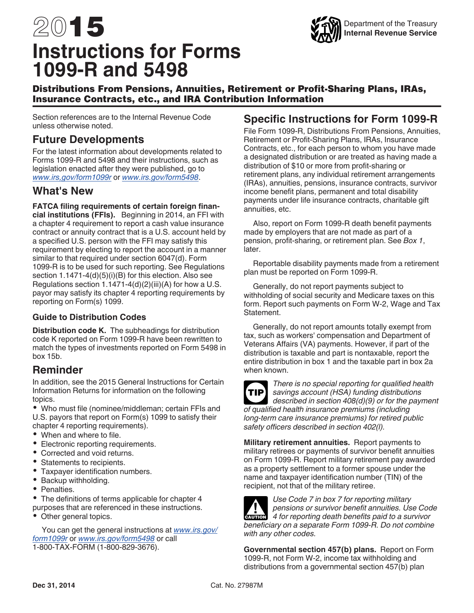# <span id="page-0-0"></span>2015 **Instructions for Forms 1099-R and 5498**



# Distributions From Pensions, Annuities, Retirement or Profit-Sharing Plans, IRAs, Insurance Contracts, etc., and IRA Contribution Information

Section references are to the Internal Revenue Code unless otherwise noted.

# **Future Developments**

For the latest information about developments related to Forms 1099-R and 5498 and their instructions, such as legislation enacted after they were published, go to *[www.irs,gov/form1099r](http://www.irs.gov/form1099r)* or *[www.irs.gov/form5498](http://www.irs.gov/form5498)*.

# **What's New**

**FATCA filing requirements of certain foreign finan-**

**cial institutions (FFIs).** Beginning in 2014, an FFI with a chapter 4 requirement to report a cash value insurance contract or annuity contract that is a U.S. account held by a specified U.S. person with the FFI may satisfy this requirement by electing to report the account in a manner similar to that required under section 6047(d). Form 1099-R is to be used for such reporting. See Regulations section 1.1471-4(d)(5)(i)(B) for this election. Also see Regulations section 1.1471-4(d)(2)(iii)(A) for how a U.S. payor may satisfy its chapter 4 reporting requirements by reporting on Form(s) 1099.

# **Guide to Distribution Codes**

**Distribution code K.** The subheadings for distribution code K reported on Form 1099-R have been rewritten to match the types of investments reported on Form 5498 in box 15b.

# **Reminder**

In addition, see the 2015 General Instructions for Certain Information Returns for information on the following topics.

Who must file (nominee/middleman; certain FFIs and U.S. payors that report on Form(s) 1099 to satisfy their chapter 4 reporting requirements).

- When and where to file.
- Electronic reporting requirements.
- Corrected and void returns.
- Statements to recipients.
- Taxpayer identification numbers.
- Backup withholding.
- Penalties.

• The definitions of terms applicable for chapter 4 purposes that are referenced in these instructions.

• Other general topics.

You can get the general instructions at *[www.irs.gov/](http://www.irs.gov/form1099r) [form1099r](http://www.irs.gov/form1099r)* or *[www.irs.gov/form5498](http://www.irs.gov/form5498)* or call 1-800-TAX-FORM (1-800-829-3676).

# **Specific Instructions for Form 1099-R**

File Form 1099-R, Distributions From Pensions, Annuities, Retirement or Profit-Sharing Plans, IRAs, Insurance Contracts, etc., for each person to whom you have made a designated distribution or are treated as having made a distribution of \$10 or more from profit-sharing or retirement plans, any individual retirement arrangements (IRAs), annuities, pensions, insurance contracts, survivor income benefit plans, permanent and total disability payments under life insurance contracts, charitable gift annuities, etc.

Also, report on Form 1099-R death benefit payments made by employers that are not made as part of a pension, profit-sharing, or retirement plan. See *Box 1*, later.

Reportable disability payments made from a retirement plan must be reported on Form 1099-R.

Generally, do not report payments subject to withholding of social security and Medicare taxes on this form. Report such payments on Form W-2, Wage and Tax Statement.

Generally, do not report amounts totally exempt from tax, such as workers' compensation and Department of Veterans Affairs (VA) payments. However, if part of the distribution is taxable and part is nontaxable, report the entire distribution in box 1 and the taxable part in box 2a when known.



*There is no special reporting for qualified health savings account (HSA) funding distributions described in section 408(d)(9) or for the payment of qualified health insurance premiums (including long-term care insurance premiums) for retired public safety officers described in section 402(l).*

**Military retirement annuities.** Report payments to military retirees or payments of survivor benefit annuities on Form 1099-R. Report military retirement pay awarded as a property settlement to a former spouse under the name and taxpayer identification number (TIN) of the recipient, not that of the military retiree.



*Use Code 7 in box 7 for reporting military pensions or survivor benefit annuities. Use Code*  **Proposition** *4 for reporting death benefit annuities. Use Code*<br>
4 *for reporting death benefits paid to a survivor beneficiary on a separate Form 1099-R. Do not combine with any other codes.*

**Governmental section 457(b) plans.** Report on Form 1099-R, not Form W-2, income tax withholding and distributions from a governmental section 457(b) plan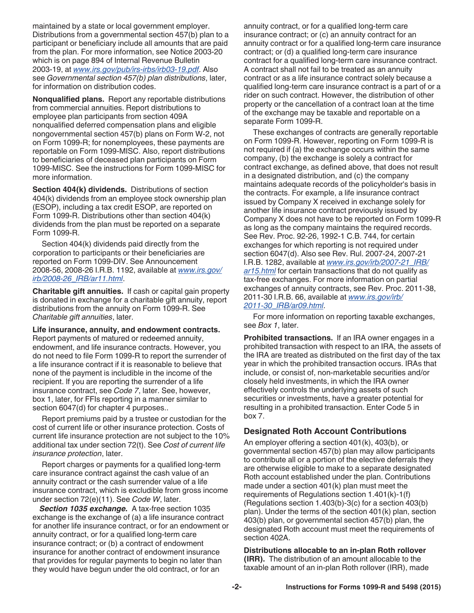<span id="page-1-0"></span>maintained by a state or local government employer. Distributions from a governmental section 457(b) plan to a participant or beneficiary include all amounts that are paid from the plan. For more information, see Notice 2003-20 which is on page 894 of Internal Revenue Bulletin 2003-19, at *[www.irs.gov/pub/irs-irbs/irb03-19.pdf](http://www.irs.gov/pub/irs-irbs/irb03-19.pdf)*. Also see *Governmental section 457(b) plan distributions*, later, for information on distribution codes.

**Nonqualified plans.** Report any reportable distributions from commercial annuities. Report distributions to employee plan participants from section 409A nonqualified deferred compensation plans and eligible nongovernmental section 457(b) plans on Form W-2, not on Form 1099-R; for nonemployees, these payments are reportable on Form 1099-MISC. Also, report distributions to beneficiaries of deceased plan participants on Form 1099-MISC. See the instructions for Form 1099-MISC for more information.

**Section 404(k) dividends.** Distributions of section 404(k) dividends from an employee stock ownership plan (ESOP), including a tax credit ESOP, are reported on Form 1099-R. Distributions other than section 404(k) dividends from the plan must be reported on a separate Form 1099-R.

Section 404(k) dividends paid directly from the corporation to participants or their beneficiaries are reported on Form 1099-DIV. See Announcement 2008-56, 2008-26 I.R.B. 1192, available at *[www.irs.gov/](http://www.irs.gov/irb/2008-26_IRB/ar11.html) [irb/2008-26\\_IRB/ar11.html](http://www.irs.gov/irb/2008-26_IRB/ar11.html)*.

**Charitable gift annuities.** If cash or capital gain property is donated in exchange for a charitable gift annuity, report distributions from the annuity on Form 1099-R. See *Charitable gift annuities*, later.

**Life insurance, annuity, and endowment contracts.**

Report payments of matured or redeemed annuity, endowment, and life insurance contracts. However, you do not need to file Form 1099-R to report the surrender of a life insurance contract if it is reasonable to believe that none of the payment is includible in the income of the recipient. If you are reporting the surrender of a life insurance contract, see *Code 7*, later. See, however, box 1, later, for FFIs reporting in a manner similar to section 6047(d) for chapter 4 purposes..

Report premiums paid by a trustee or custodian for the cost of current life or other insurance protection. Costs of current life insurance protection are not subject to the 10% additional tax under section 72(t). See *Cost of current life insurance protection*, later.

Report charges or payments for a qualified long-term care insurance contract against the cash value of an annuity contract or the cash surrender value of a life insurance contract, which is excludible from gross income under section 72(e)(11). See *Code W*, later.

*Section 1035 exchange.* A tax-free section 1035 exchange is the exchange of (a) a life insurance contract for another life insurance contract, or for an endowment or annuity contract, or for a qualified long-term care insurance contract; or (b) a contract of endowment insurance for another contract of endowment insurance that provides for regular payments to begin no later than they would have begun under the old contract, or for an

annuity contract, or for a qualified long-term care insurance contract; or (c) an annuity contract for an annuity contract or for a qualified long-term care insurance contract; or (d) a qualified long-term care insurance contract for a qualified long-term care insurance contract. A contract shall not fail to be treated as an annuity contract or as a life insurance contract solely because a qualified long-term care insurance contract is a part of or a rider on such contract. However, the distribution of other property or the cancellation of a contract loan at the time of the exchange may be taxable and reportable on a separate Form 1099-R.

These exchanges of contracts are generally reportable on Form 1099-R. However, reporting on Form 1099-R is not required if (a) the exchange occurs within the same company, (b) the exchange is solely a contract for contract exchange, as defined above, that does not result in a designated distribution, and (c) the company maintains adequate records of the policyholder's basis in the contracts. For example, a life insurance contract issued by Company X received in exchange solely for another life insurance contract previously issued by Company X does not have to be reported on Form 1099-R as long as the company maintains the required records. See Rev. Proc. 92-26, 1992-1 C.B. 744, for certain exchanges for which reporting is not required under section 6047(d). Also see Rev. Rul. 2007-24, 2007-21 I.R.B. 1282, available at *[www.irs.gov/irb/2007-21\\_IRB/](http://www.irs.gov/irb/2007-21_IRB/ar15.html) [ar15.html](http://www.irs.gov/irb/2007-21_IRB/ar15.html)* for certain transactions that do not qualify as tax-free exchanges. For more information on partial exchanges of annuity contracts, see Rev. Proc. 2011-38, 2011-30 I.R.B. 66, available at *[www.irs.gov/irb/](http://www.irs.gov/irb/2011-30_IRB/ar09.html) [2011-30\\_IRB/ar09.html](http://www.irs.gov/irb/2011-30_IRB/ar09.html)*.

For more information on reporting taxable exchanges, see *Box 1*, later.

**Prohibited transactions.** If an IRA owner engages in a prohibited transaction with respect to an IRA, the assets of the IRA are treated as distributed on the first day of the tax year in which the prohibited transaction occurs. IRAs that include, or consist of, non-marketable securities and/or closely held investments, in which the IRA owner effectively controls the underlying assets of such securities or investments, have a greater potential for resulting in a prohibited transaction. Enter Code 5 in box 7.

# **Designated Roth Account Contributions**

An employer offering a section 401(k), 403(b), or governmental section 457(b) plan may allow participants to contribute all or a portion of the elective deferrals they are otherwise eligible to make to a separate designated Roth account established under the plan. Contributions made under a section 401(k) plan must meet the requirements of Regulations section 1.401(k)-1(f) (Regulations section 1.403(b)-3(c) for a section 403(b) plan). Under the terms of the section 401(k) plan, section 403(b) plan, or governmental section 457(b) plan, the designated Roth account must meet the requirements of section 402A.

**Distributions allocable to an in-plan Roth rollover (IRR).** The distribution of an amount allocable to the taxable amount of an in-plan Roth rollover (IRR), made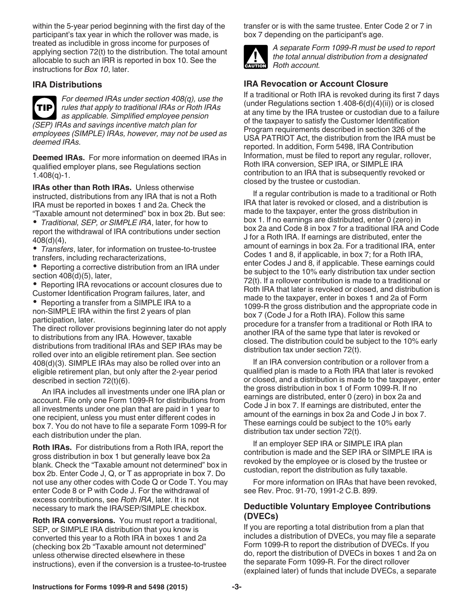<span id="page-2-0"></span>within the 5-year period beginning with the first day of the participant's tax year in which the rollover was made, is treated as includible in gross income for purposes of applying section 72(t) to the distribution. The total amount allocable to such an IRR is reported in box 10. See the instructions for *Box 10*, later.

# **IRA Distributions**



*For deemed IRAs under section 408(q), use the rules that apply to traditional IRAs or Roth IRAs as applicable. Simplified employee pension (SEP) IRAs and savings incentive match plan for employees (SIMPLE) IRAs, however, may not be used as deemed IRAs.*

**Deemed IRAs.** For more information on deemed IRAs in qualified employer plans, see Regulations section 1.408(q)-1.

**IRAs other than Roth IRAs.** Unless otherwise instructed, distributions from any IRA that is not a Roth IRA must be reported in boxes 1 and 2a. Check the "Taxable amount not determined" box in box 2b. But see:

*Traditional, SEP, or SIMPLE IRA*, later, for how to report the withdrawal of IRA contributions under section 408(d)(4),

*Transfers*, later, for information on trustee-to-trustee transfers, including recharacterizations,

• Reporting a corrective distribution from an IRA under section 408(d)(5), later,

• Reporting IRA revocations or account closures due to Customer Identification Program failures, later, and

• Reporting a transfer from a SIMPLE IRA to a non-SIMPLE IRA within the first 2 years of plan participation, later.

The direct rollover provisions beginning later do not apply to distributions from any IRA. However, taxable distributions from traditional IRAs and SEP IRAs may be rolled over into an eligible retirement plan. See section 408(d)(3). SIMPLE IRAs may also be rolled over into an eligible retirement plan, but only after the 2-year period described in section 72(t)(6).

An IRA includes all investments under one IRA plan or account. File only one Form 1099-R for distributions from all investments under one plan that are paid in 1 year to one recipient, unless you must enter different codes in box 7. You do not have to file a separate Form 1099-R for each distribution under the plan.

**Roth IRAs.** For distributions from a Roth IRA, report the gross distribution in box 1 but generally leave box 2a blank. Check the "Taxable amount not determined" box in box 2b. Enter Code J, Q, or T as appropriate in box 7. Do not use any other codes with Code Q or Code T. You may enter Code 8 or P with Code J. For the withdrawal of excess contributions, see *Roth IRA*, later. It is not necessary to mark the IRA/SEP/SIMPLE checkbox.

**Roth IRA conversions.** You must report a traditional, SEP, or SIMPLE IRA distribution that you know is converted this year to a Roth IRA in boxes 1 and 2a (checking box 2b "Taxable amount not determined" unless otherwise directed elsewhere in these instructions), even if the conversion is a trustee-to-trustee transfer or is with the same trustee. Enter Code 2 or 7 in box 7 depending on the participant's age.



*A separate Form 1099-R must be used to report the total annual distribution from a designated*  **Roth account.**<br> **Proth account.** 

# **IRA Revocation or Account Closure**

If a traditional or Roth IRA is revoked during its first 7 days (under Regulations section  $1.408 - 6(d)(4)(ii)$ ) or is closed at any time by the IRA trustee or custodian due to a failure of the taxpayer to satisfy the Customer Identification Program requirements described in section 326 of the USA PATRIOT Act, the distribution from the IRA must be reported. In addition, Form 5498, IRA Contribution Information, must be filed to report any regular, rollover, Roth IRA conversion, SEP IRA, or SIMPLE IRA contribution to an IRA that is subsequently revoked or closed by the trustee or custodian.

If a regular contribution is made to a traditional or Roth IRA that later is revoked or closed, and a distribution is made to the taxpayer, enter the gross distribution in box 1. If no earnings are distributed, enter 0 (zero) in box 2a and Code 8 in box 7 for a traditional IRA and Code J for a Roth IRA. If earnings are distributed, enter the amount of earnings in box 2a. For a traditional IRA, enter Codes 1 and 8, if applicable, in box 7; for a Roth IRA, enter Codes J and 8, if applicable. These earnings could be subject to the 10% early distribution tax under section 72(t). If a rollover contribution is made to a traditional or Roth IRA that later is revoked or closed, and distribution is made to the taxpayer, enter in boxes 1 and 2a of Form 1099-R the gross distribution and the appropriate code in box 7 (Code J for a Roth IRA). Follow this same procedure for a transfer from a traditional or Roth IRA to another IRA of the same type that later is revoked or closed. The distribution could be subject to the 10% early distribution tax under section 72(t).

If an IRA conversion contribution or a rollover from a qualified plan is made to a Roth IRA that later is revoked or closed, and a distribution is made to the taxpayer, enter the gross distribution in box 1 of Form 1099-R. If no earnings are distributed, enter 0 (zero) in box 2a and Code J in box 7. If earnings are distributed, enter the amount of the earnings in box 2a and Code J in box 7. These earnings could be subject to the 10% early distribution tax under section 72(t).

If an employer SEP IRA or SIMPLE IRA plan contribution is made and the SEP IRA or SIMPLE IRA is revoked by the employee or is closed by the trustee or custodian, report the distribution as fully taxable.

For more information on IRAs that have been revoked, see Rev. Proc. 91-70, 1991-2 C.B. 899.

# **Deductible Voluntary Employee Contributions (DVECs)**

If you are reporting a total distribution from a plan that includes a distribution of DVECs, you may file a separate Form 1099-R to report the distribution of DVECs. If you do, report the distribution of DVECs in boxes 1 and 2a on the separate Form 1099-R. For the direct rollover (explained later) of funds that include DVECs, a separate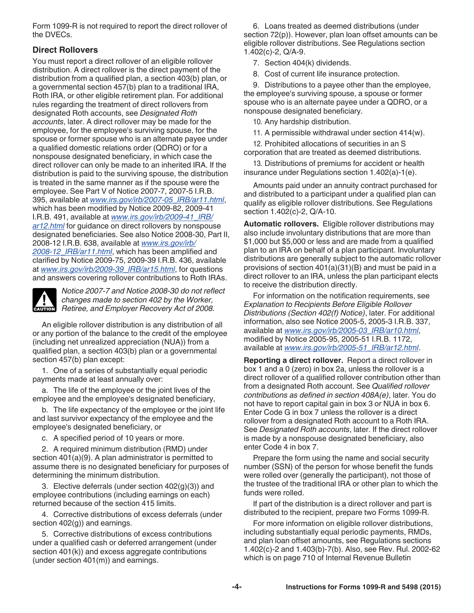<span id="page-3-0"></span>Form 1099-R is not required to report the direct rollover of the DVECs.

# **Direct Rollovers**

You must report a direct rollover of an eligible rollover distribution. A direct rollover is the direct payment of the distribution from a qualified plan, a section 403(b) plan, or a governmental section 457(b) plan to a traditional IRA, Roth IRA, or other eligible retirement plan. For additional rules regarding the treatment of direct rollovers from designated Roth accounts, see *Designated Roth accounts*, later. A direct rollover may be made for the employee, for the employee's surviving spouse, for the spouse or former spouse who is an alternate payee under a qualified domestic relations order (QDRO) or for a nonspouse designated beneficiary, in which case the direct rollover can only be made to an inherited IRA. If the distribution is paid to the surviving spouse, the distribution is treated in the same manner as if the spouse were the employee. See Part V of Notice 2007-7, 2007-5 I.R.B. 395, available at *[www.irs.gov/irb/2007-05\\_IRB/ar11.html](http://www.irs.gov/irb/2007-05_IRB/ar11.html)*, which has been modified by Notice 2009-82, 2009-41 I.R.B. 491, available at *[www.irs.gov/irb/2009-41\\_IRB/](http://www.irs.gov/irb/2009-41_IRB/ar12.html) [ar12.html](http://www.irs.gov/irb/2009-41_IRB/ar12.html)* for guidance on direct rollovers by nonspouse designated beneficiaries. See also Notice 2008-30, Part II, 2008-12 I.R.B. 638, available at *[www.irs.gov/irb/](http://www.irs.gov/irb/2008-12_IRB/ar11.html) [2008-12\\_IRB/ar11.html](http://www.irs.gov/irb/2008-12_IRB/ar11.html)*, which has been amplified and clarified by Notice 2009-75, 2009-39 I.R.B. 436, available at *[www.irs.gov/irb/2009-39\\_IRB/ar15.html](http://www.irs.gov/irb/2009-39_IRB/ar15.html)*, for questions and answers covering rollover contributions to Roth IRAs.

*Notice 2007-7 and Notice 2008-30 do not reflect changes made to section 402 by the Worker,*  **Retiree, and Employer Recovery Act of 2008.**<br> **Retiree, and Employer Recovery Act of 2008.** 

An eligible rollover distribution is any distribution of all or any portion of the balance to the credit of the employee (including net unrealized appreciation (NUA)) from a qualified plan, a section 403(b) plan or a governmental section 457(b) plan except:

1. One of a series of substantially equal periodic payments made at least annually over:

a. The life of the employee or the joint lives of the employee and the employee's designated beneficiary,

b. The life expectancy of the employee or the joint life and last survivor expectancy of the employee and the employee's designated beneficiary, or

c. A specified period of 10 years or more.

2. A required minimum distribution (RMD) under section 401(a)(9). A plan administrator is permitted to assume there is no designated beneficiary for purposes of determining the minimum distribution.

3. Elective deferrals (under section  $402(q)(3)$ ) and employee contributions (including earnings on each) returned because of the section 415 limits.

4. Corrective distributions of excess deferrals (under section 402(g)) and earnings.

5. Corrective distributions of excess contributions under a qualified cash or deferred arrangement (under section 401(k)) and excess aggregate contributions (under section 401(m)) and earnings.

6. Loans treated as deemed distributions (under section 72(p)). However, plan loan offset amounts can be eligible rollover distributions. See Regulations section 1.402(c)-2, Q/A-9.

7. Section 404(k) dividends.

8. Cost of current life insurance protection.

9. Distributions to a payee other than the employee, the employee's surviving spouse, a spouse or former spouse who is an alternate payee under a QDRO, or a nonspouse designated beneficiary.

10. Any hardship distribution.

11. A permissible withdrawal under section 414(w).

12. Prohibited allocations of securities in an S corporation that are treated as deemed distributions.

13. Distributions of premiums for accident or health insurance under Regulations section 1.402(a)-1(e).

Amounts paid under an annuity contract purchased for and distributed to a participant under a qualified plan can qualify as eligible rollover distributions. See Regulations section 1.402(c)-2, Q/A-10.

**Automatic rollovers.** Eligible rollover distributions may also include involuntary distributions that are more than \$1,000 but \$5,000 or less and are made from a qualified plan to an IRA on behalf of a plan participant. Involuntary distributions are generally subject to the automatic rollover provisions of section 401(a)(31)(B) and must be paid in a direct rollover to an IRA, unless the plan participant elects to receive the distribution directly.

For information on the notification requirements, see *Explanation to Recipients Before Eligible Rollover Distributions (Section 402(f) Notice)*, later. For additional information, also see Notice 2005-5, 2005-3 I.R.B. 337, available at *[www.irs.gov/irb/2005-03\\_IRB/ar10.html](http://www.irs.gov/irb/2005-03_IRB/ar10.html)*, modified by Notice 2005-95, 2005-51 I.R.B. 1172, available at *[www.irs.gov/irb/2005-51\\_IRB/ar12.html](http://www.irs.gov/irb/2005-51_IRB/ar12.html)*.

**Reporting a direct rollover.** Report a direct rollover in box 1 and a 0 (zero) in box 2a, unless the rollover is a direct rollover of a qualified rollover contribution other than from a designated Roth account. See *Qualified rollover contributions as defined in section 408A(e)*, later. You do not have to report capital gain in box 3 or NUA in box 6. Enter Code G in box 7 unless the rollover is a direct rollover from a designated Roth account to a Roth IRA. See *Designated Roth accounts*, later. If the direct rollover is made by a nonspouse designated beneficiary, also enter Code 4 in box 7.

Prepare the form using the name and social security number (SSN) of the person for whose benefit the funds were rolled over (generally the participant), not those of the trustee of the traditional IRA or other plan to which the funds were rolled.

If part of the distribution is a direct rollover and part is distributed to the recipient, prepare two Forms 1099-R.

For more information on eligible rollover distributions, including substantially equal periodic payments, RMDs, and plan loan offset amounts, see Regulations sections 1.402(c)-2 and 1.403(b)-7(b). Also, see Rev. Rul. 2002-62 which is on page 710 of Internal Revenue Bulletin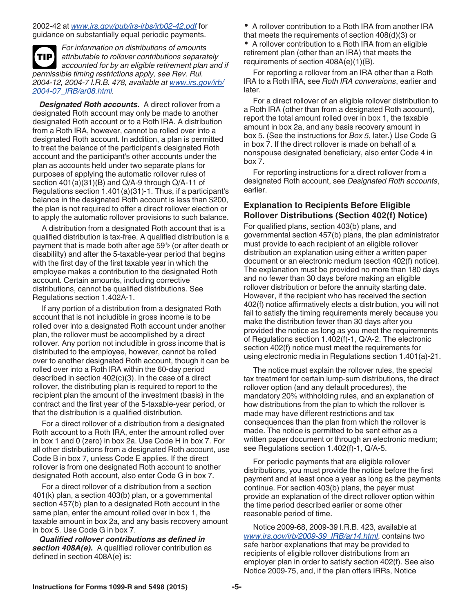### <span id="page-4-0"></span>2002-42 at *[www.irs.gov/pub/irs-irbs/irb02-42.pdf](http://www.irs.gov/pub/irs-irbs/irb02-42.pdf)* for guidance on substantially equal periodic payments.

*For information on distributions of amounts attributable to rollover contributions separately accounted for by an eligible retirement plan and if permissible timing restrictions apply, see Rev. Rul. 2004-12, 2004-7 I.R.B. 478, available at [www.irs.gov/irb/](http://www.irs.gov/irb/2004-07_IRB/ar08.html) [2004-07\\_IRB/ar08.html.](http://www.irs.gov/irb/2004-07_IRB/ar08.html)* **TIP**

*Designated Roth accounts.* A direct rollover from a designated Roth account may only be made to another designated Roth account or to a Roth IRA. A distribution from a Roth IRA, however, cannot be rolled over into a designated Roth account. In addition, a plan is permitted to treat the balance of the participant's designated Roth account and the participant's other accounts under the plan as accounts held under two separate plans for purposes of applying the automatic rollover rules of section  $401(a)(31)(B)$  and  $Q/A-9$  through  $Q/A-11$  of Regulations section 1.401(a)(31)-1. Thus, if a participant's balance in the designated Roth account is less than \$200, the plan is not required to offer a direct rollover election or to apply the automatic rollover provisions to such balance.

A distribution from a designated Roth account that is a qualified distribution is tax-free. A qualified distribution is a disabililty) and after the 5-taxable-year period that begins with the first day of the first taxable year in which the employee makes a contribution to the designated Roth account. Certain amounts, including corrective distributions, cannot be qualified distributions. See Regulations section 1.402A-1.

If any portion of a distribution from a designated Roth account that is not includible in gross income is to be rolled over into a designated Roth account under another plan, the rollover must be accomplished by a direct rollover. Any portion not includible in gross income that is distributed to the employee, however, cannot be rolled over to another designated Roth account, though it can be rolled over into a Roth IRA within the 60-day period described in section 402(c)(3). In the case of a direct rollover, the distributing plan is required to report to the recipient plan the amount of the investment (basis) in the contract and the first year of the 5-taxable-year period, or that the distribution is a qualified distribution.

For a direct rollover of a distribution from a designated Roth account to a Roth IRA, enter the amount rolled over in box 1 and 0 (zero) in box 2a. Use Code H in box 7. For all other distributions from a designated Roth account, use Code B in box 7, unless Code E applies. If the direct rollover is from one designated Roth account to another designated Roth account, also enter Code G in box 7.

For a direct rollover of a distribution from a section 401(k) plan, a section 403(b) plan, or a governmental section 457(b) plan to a designated Roth account in the same plan, enter the amount rolled over in box 1, the taxable amount in box 2a, and any basis recovery amount in box 5. Use Code G in box 7.

*Qualified rollover contributions as defined in*  section 408A(e). A qualified rollover contribution as defined in section 408A(e) is:

A rollover contribution to a Roth IRA from another IRA that meets the requirements of section 408(d)(3) or

A rollover contribution to a Roth IRA from an eligible retirement plan (other than an IRA) that meets the requirements of section 408A(e)(1)(B).

For reporting a rollover from an IRA other than a Roth IRA to a Roth IRA, see *Roth IRA conversions*, earlier and later.

For a direct rollover of an eligible rollover distribution to a Roth IRA (other than from a designated Roth account), report the total amount rolled over in box 1, the taxable amount in box 2a, and any basis recovery amount in box 5. (See the instructions for *Box 5*, later.) Use Code G in box 7. If the direct rollover is made on behalf of a nonspouse designated beneficiary, also enter Code 4 in box 7.

For reporting instructions for a direct rollover from a designated Roth account, see *Designated Roth accounts*, earlier.

# **Explanation to Recipients Before Eligible Rollover Distributions (Section 402(f) Notice)**

payment that is made both after age 59**<sup>1</sup> <sup>2</sup>** (or after death or For qualified plans, section 403(b) plans, and governmental section 457(b) plans, the plan administrator must provide to each recipient of an eligible rollover distribution an explanation using either a written paper document or an electronic medium (section 402(f) notice). The explanation must be provided no more than 180 days and no fewer than 30 days before making an eligible rollover distribution or before the annuity starting date. However, if the recipient who has received the section 402(f) notice affirmatively elects a distribution, you will not fail to satisfy the timing requirements merely because you make the distribution fewer than 30 days after you provided the notice as long as you meet the requirements of Regulations section 1.402(f)-1, Q/A-2. The electronic section 402(f) notice must meet the requirements for using electronic media in Regulations section 1.401(a)-21.

> The notice must explain the rollover rules, the special tax treatment for certain lump-sum distributions, the direct rollover option (and any default procedures), the mandatory 20% withholding rules, and an explanation of how distributions from the plan to which the rollover is made may have different restrictions and tax consequences than the plan from which the rollover is made. The notice is permitted to be sent either as a written paper document or through an electronic medium; see Regulations section 1.402(f)-1, Q/A-5.

> For periodic payments that are eligible rollover distributions, you must provide the notice before the first payment and at least once a year as long as the payments continue. For section 403(b) plans, the payer must provide an explanation of the direct rollover option within the time period described earlier or some other reasonable period of time.

Notice 2009-68, 2009-39 I.R.B. 423, available at *[www.irs.gov/irb/2009-39\\_IRB/ar14.html](http://www.irs.gov/irb/2009-39_IRB/ar14.html)*, contains two safe harbor explanations that may be provided to recipients of eligible rollover distributions from an employer plan in order to satisfy section 402(f). See also Notice 2009-75, and, if the plan offers IRRs, Notice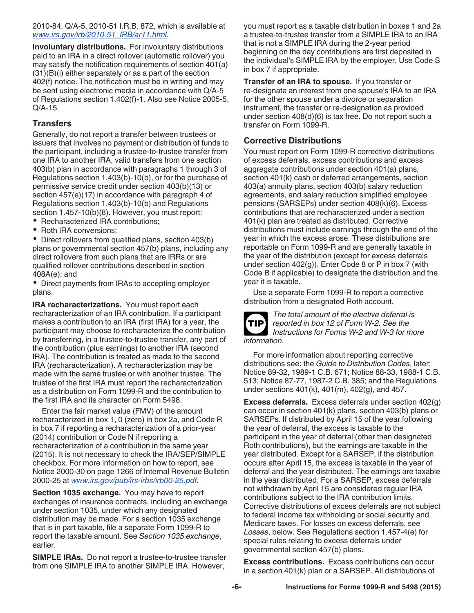<span id="page-5-0"></span>2010-84, Q/A-5, 2010-51 I.R.B. 872, which is available at *[www.irs.gov/irb/2010-51\\_IRB/ar11.html](http://www.irs.gov/irb/2010-51_IRB/ar11.html)*.

**Involuntary distributions.** For involuntary distributions paid to an IRA in a direct rollover (automatic rollover) you may satisfy the notification requirements of section 401(a) (31)(B)(i) either separately or as a part of the section 402(f) notice. The notification must be in writing and may be sent using electronic media in accordance with Q/A-5 of Regulations section 1.402(f)-1. Also see Notice 2005-5, Q/A-15.

# **Transfers**

Generally, do not report a transfer between trustees or issuers that involves no payment or distribution of funds to the participant, including a trustee-to-trustee transfer from one IRA to another IRA, valid transfers from one section 403(b) plan in accordance with paragraphs 1 through 3 of Regulations section 1.403(b)-10(b), or for the purchase of permissive service credit under section 403(b)(13) or section 457(e)(17) in accordance with paragraph 4 of Regulations section 1.403(b)-10(b) and Regulations section 1.457-10(b)(8). However, you must report:

- Recharacterized IRA contributions;
- Roth IRA conversions;

• Direct rollovers from qualified plans, section 403(b) plans or governmental section 457(b) plans, including any direct rollovers from such plans that are IRRs or are qualified rollover contributions described in section 408A(e); and

• Direct payments from IRAs to accepting employer plans.

**IRA recharacterizations.** You must report each recharacterization of an IRA contribution. If a participant makes a contribution to an IRA (first IRA) for a year, the participant may choose to recharacterize the contribution by transferring, in a trustee-to-trustee transfer, any part of the contribution (plus earnings) to another IRA (second IRA). The contribution is treated as made to the second IRA (recharacterization). A recharacterization may be made with the same trustee or with another trustee. The trustee of the first IRA must report the recharacterization as a distribution on Form 1099-R and the contribution to the first IRA and its character on Form 5498.

Enter the fair market value (FMV) of the amount recharacterized in box 1, 0 (zero) in box 2a, and Code R in box 7 if reporting a recharacterization of a prior-year (2014) contribution or Code N if reporting a recharacterization of a contribution in the same year (2015). It is not necessary to check the IRA/SEP/SIMPLE checkbox. For more information on how to report, see Notice 2000-30 on page 1266 of Internal Revenue Bulletin 2000-25 at *[www.irs.gov/pub/irs-irbs/irb00-25.pdf](http://www.irs.gov/pub/irs-irbs/irb00-25.pdf)*.

**Section 1035 exchange.** You may have to report exchanges of insurance contracts, including an exchange under section 1035, under which any designated distribution may be made. For a section 1035 exchange that is in part taxable, file a separate Form 1099-R to report the taxable amount. See *Section 1035 exchange*, earlier.

**SIMPLE IRAs.** Do not report a trustee-to-trustee transfer from one SIMPLE IRA to another SIMPLE IRA. However,

you must report as a taxable distribution in boxes 1 and 2a a trustee-to-trustee transfer from a SIMPLE IRA to an IRA that is not a SIMPLE IRA during the 2-year period beginning on the day contributions are first deposited in the individual's SIMPLE IRA by the employer. Use Code S in box 7 if appropriate.

**Transfer of an IRA to spouse.** If you transfer or re-designate an interest from one spouse's IRA to an IRA for the other spouse under a divorce or separation instrument, the transfer or re-designation as provided under section 408(d)(6) is tax free. Do not report such a transfer on Form 1099-R.

# **Corrective Distributions**

You must report on Form 1099-R corrective distributions of excess deferrals, excess contributions and excess aggregate contributions under section 401(a) plans, section 401(k) cash or deferred arrangements, section 403(a) annuity plans, section 403(b) salary reduction agreements, and salary reduction simplified employee pensions (SARSEPs) under section 408(k)(6). Excess contributions that are recharacterized under a section 401(k) plan are treated as distributed. Corrective distributions must include earnings through the end of the year in which the excess arose. These distributions are reportable on Form 1099-R and are generally taxable in the year of the distribution (except for excess deferrals under section 402(g)). Enter Code 8 or P in box 7 (with Code B if applicable) to designate the distribution and the year it is taxable.

Use a separate Form 1099-R to report a corrective distribution from a designated Roth account.



*The total amount of the elective deferral is reported in box 12 of Form W-2. See the Instructions for Forms W-2 and W-3 for more information.*

For more information about reporting corrective distributions see: the *Guide to Distribution Codes*, later; Notice 89-32, 1989-1 C.B. 671; Notice 88-33, 1988-1 C.B. 513; Notice 87-77, 1987-2 C.B. 385; and the Regulations under sections 401(k), 401(m), 402(g), and 457.

**Excess deferrals.** Excess deferrals under section 402(g) can occur in section 401(k) plans, section 403(b) plans or SARSEPs. If distributed by April 15 of the year following the year of deferral, the excess is taxable to the participant in the year of deferral (other than designated Roth contributions), but the earnings are taxable in the year distributed. Except for a SARSEP, if the distribution occurs after April 15, the excess is taxable in the year of deferral and the year distributed. The earnings are taxable in the year distributed. For a SARSEP, excess deferrals not withdrawn by April 15 are considered regular IRA contributions subject to the IRA contribution limits. Corrective distributions of excess deferrals are not subject to federal income tax withholding or social security and Medicare taxes. For losses on excess deferrals, see *Losses*, below. See Regulations section 1.457-4(e) for special rules relating to excess deferrals under governmental section 457(b) plans.

**Excess contributions.** Excess contributions can occur in a section 401(k) plan or a SARSEP. All distributions of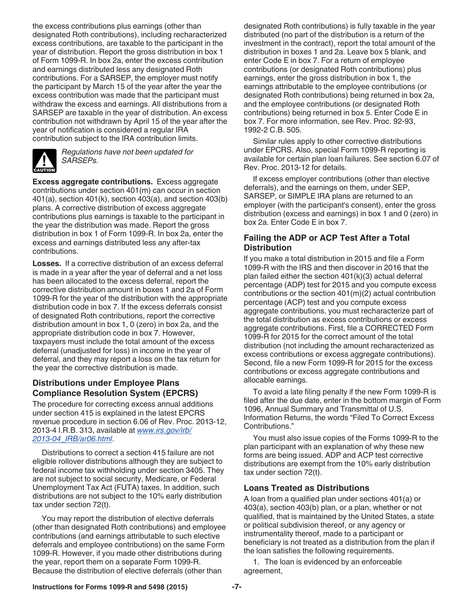<span id="page-6-0"></span>the excess contributions plus earnings (other than designated Roth contributions), including recharacterized excess contributions, are taxable to the participant in the year of distribution. Report the gross distribution in box 1 of Form 1099-R. In box 2a, enter the excess contribution and earnings distributed less any designated Roth contributions. For a SARSEP, the employer must notify the participant by March 15 of the year after the year the excess contribution was made that the participant must withdraw the excess and earnings. All distributions from a SARSEP are taxable in the year of distribution. An excess contribution not withdrawn by April 15 of the year after the year of notification is considered a regular IRA contribution subject to the IRA contribution limits.



*Regulations have not been updated for SARSEPs.*

**Excess aggregate contributions.** Excess aggregate contributions under section 401(m) can occur in section 401(a), section 401(k), section 403(a), and section 403(b) plans. A corrective distribution of excess aggregate contributions plus earnings is taxable to the participant in the year the distribution was made. Report the gross distribution in box 1 of Form 1099-R. In box 2a, enter the excess and earnings distributed less any after-tax contributions.

**Losses.** If a corrective distribution of an excess deferral is made in a year after the year of deferral and a net loss has been allocated to the excess deferral, report the corrective distribution amount in boxes 1 and 2a of Form 1099-R for the year of the distribution with the appropriate distribution code in box 7. If the excess deferrals consist of designated Roth contributions, report the corrective distribution amount in box 1, 0 (zero) in box 2a, and the appropriate distribution code in box 7. However, taxpayers must include the total amount of the excess deferral (unadjusted for loss) in income in the year of deferral, and they may report a loss on the tax return for the year the corrective distribution is made.

# **Distributions under Employee Plans Compliance Resolution System (EPCRS)**

The procedure for correcting excess annual additions under section 415 is explained in the latest EPCRS revenue procedure in section 6.06 of Rev. Proc. 2013-12, 2013-4 I.R.B. 313, available at *[www.irs.gov/irb/](http://www.irs.gov/irb/2013-04_IRB/ar06.html) [2013-04\\_IRB/ar06.html](http://www.irs.gov/irb/2013-04_IRB/ar06.html)*.

Distributions to correct a section 415 failure are not eligible rollover distributions although they are subject to federal income tax withholding under section 3405. They are not subject to social security, Medicare, or Federal Unemployment Tax Act (FUTA) taxes. In addition, such distributions are not subject to the 10% early distribution tax under section 72(t).

You may report the distribution of elective deferrals (other than designated Roth contributions) and employee contributions (and earnings attributable to such elective deferrals and employee contributions) on the same Form 1099-R. However, if you made other distributions during the year, report them on a separate Form 1099-R. Because the distribution of elective deferrals (other than

designated Roth contributions) is fully taxable in the year distributed (no part of the distribution is a return of the investment in the contract), report the total amount of the distribution in boxes 1 and 2a. Leave box 5 blank, and enter Code E in box 7. For a return of employee contributions (or designated Roth contributions) plus earnings, enter the gross distribution in box 1, the earnings attributable to the employee contributions (or designated Roth contributions) being returned in box 2a, and the employee contributions (or designated Roth contributions) being returned in box 5. Enter Code E in box 7. For more information, see Rev. Proc. 92-93, 1992-2 C.B. 505.

Similar rules apply to other corrective distributions under EPCRS. Also, special Form 1099-R reporting is available for certain plan loan failures. See section 6.07 of Rev. Proc. 2013-12 for details.

If excess employer contributions (other than elective deferrals), and the earnings on them, under SEP, SARSEP, or SIMPLE IRA plans are returned to an employer (with the participant's consent), enter the gross distribution (excess and earnings) in box 1 and 0 (zero) in box 2a. Enter Code E in box 7.

# **Failing the ADP or ACP Test After a Total Distribution**

If you make a total distribution in 2015 and file a Form 1099-R with the IRS and then discover in 2016 that the plan failed either the section 401(k)(3) actual deferral percentage (ADP) test for 2015 and you compute excess contributions or the section 401(m)(2) actual contribution percentage (ACP) test and you compute excess aggregate contributions, you must recharacterize part of the total distribution as excess contributions or excess aggregate contributions. First, file a CORRECTED Form 1099-R for 2015 for the correct amount of the total distribution (not including the amount recharacterized as excess contributions or excess aggregate contributions). Second, file a new Form 1099-R for 2015 for the excess contributions or excess aggregate contributions and allocable earnings.

To avoid a late filing penalty if the new Form 1099-R is filed after the due date, enter in the bottom margin of Form 1096, Annual Summary and Transmittal of U.S. Information Returns, the words "Filed To Correct Excess Contributions."

You must also issue copies of the Forms 1099-R to the plan participant with an explanation of why these new forms are being issued. ADP and ACP test corrective distributions are exempt from the 10% early distribution tax under section 72(t).

# **Loans Treated as Distributions**

A loan from a qualified plan under sections 401(a) or 403(a), section 403(b) plan, or a plan, whether or not qualified, that is maintained by the United States, a state or political subdivision thereof, or any agency or instrumentality thereof, made to a participant or beneficiary is not treated as a distribution from the plan if the loan satisfies the following requirements.

1. The loan is evidenced by an enforceable agreement,

**Instructions for Forms 1099-R and 5498 (2015) -7-**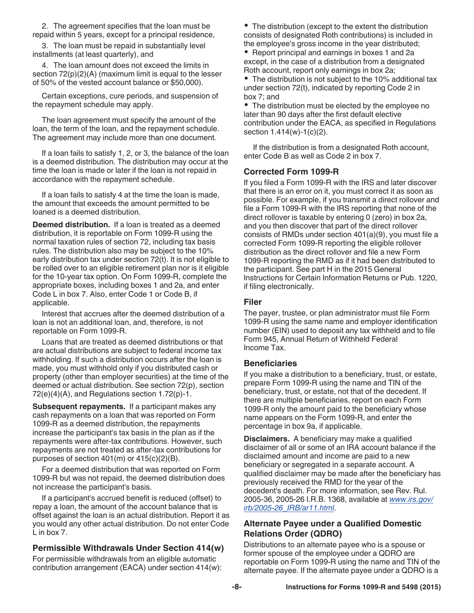<span id="page-7-0"></span>2. The agreement specifies that the loan must be repaid within 5 years, except for a principal residence,

3. The loan must be repaid in substantially level installments (at least quarterly), and

4. The loan amount does not exceed the limits in section  $72(p)(2)(A)$  (maximum limit is equal to the lesser of 50% of the vested account balance or \$50,000).

Certain exceptions, cure periods, and suspension of the repayment schedule may apply.

The loan agreement must specify the amount of the loan, the term of the loan, and the repayment schedule. The agreement may include more than one document.

If a loan fails to satisfy 1, 2, or 3, the balance of the loan is a deemed distribution. The distribution may occur at the time the loan is made or later if the loan is not repaid in accordance with the repayment schedule.

If a loan fails to satisfy 4 at the time the loan is made, the amount that exceeds the amount permitted to be loaned is a deemed distribution.

**Deemed distribution.** If a loan is treated as a deemed distribution, it is reportable on Form 1099-R using the normal taxation rules of section 72, including tax basis rules. The distribution also may be subject to the 10% early distribution tax under section 72(t). It is not eligible to be rolled over to an eligible retirement plan nor is it eligible for the 10-year tax option. On Form 1099-R, complete the appropriate boxes, including boxes 1 and 2a, and enter Code L in box 7. Also, enter Code 1 or Code B, if applicable.

Interest that accrues after the deemed distribution of a loan is not an additional loan, and, therefore, is not reportable on Form 1099-R.

Loans that are treated as deemed distributions or that are actual distributions are subject to federal income tax withholding. If such a distribution occurs after the loan is made, you must withhold only if you distributed cash or property (other than employer securities) at the time of the deemed or actual distribution. See section 72(p), section 72(e)(4)(A), and Regulations section 1.72(p)-1.

**Subsequent repayments.** If a participant makes any cash repayments on a loan that was reported on Form 1099-R as a deemed distribution, the repayments increase the participant's tax basis in the plan as if the repayments were after-tax contributions. However, such repayments are not treated as after-tax contributions for purposes of section  $401(m)$  or  $415(c)(2)(B)$ .

For a deemed distribution that was reported on Form 1099-R but was not repaid, the deemed distribution does not increase the participant's basis.

If a participant's accrued benefit is reduced (offset) to repay a loan, the amount of the account balance that is offset against the loan is an actual distribution. Report it as you would any other actual distribution. Do not enter Code L in box 7.

# **Permissible Withdrawals Under Section 414(w)**

For permissible withdrawals from an eligible automatic contribution arrangement (EACA) under section 414(w):

• The distribution (except to the extent the distribution consists of designated Roth contributions) is included in the employee's gross income in the year distributed;

• Report principal and earnings in boxes 1 and 2a except, in the case of a distribution from a designated Roth account, report only earnings in box 2a;

The distribution is not subject to the 10% additional tax under section 72(t), indicated by reporting Code 2 in box 7; and

The distribution must be elected by the employee no later than 90 days after the first default elective contribution under the EACA, as specified in Regulations section 1.414(w)-1(c)(2).

If the distribution is from a designated Roth account, enter Code B as well as Code 2 in box 7.

# **Corrected Form 1099-R**

If you filed a Form 1099-R with the IRS and later discover that there is an error on it, you must correct it as soon as possible. For example, if you transmit a direct rollover and file a Form 1099-R with the IRS reporting that none of the direct rollover is taxable by entering 0 (zero) in box 2a, and you then discover that part of the direct rollover consists of RMDs under section 401(a)(9), you must file a corrected Form 1099-R reporting the eligible rollover distribution as the direct rollover and file a new Form 1099-R reporting the RMD as if it had been distributed to the participant. See part H in the 2015 General Instructions for Certain Information Returns or Pub. 1220, if filing electronically.

# **Filer**

The payer, trustee, or plan administrator must file Form 1099-R using the same name and employer identification number (EIN) used to deposit any tax withheld and to file Form 945, Annual Return of Withheld Federal Income Tax.

# **Beneficiaries**

If you make a distribution to a beneficiary, trust, or estate, prepare Form 1099-R using the name and TIN of the beneficiary, trust, or estate, not that of the decedent. If there are multiple beneficiaries, report on each Form 1099-R only the amount paid to the beneficiary whose name appears on the Form 1099-R, and enter the percentage in box 9a, if applicable.

**Disclaimers.** A beneficiary may make a qualified disclaimer of all or some of an IRA account balance if the disclaimed amount and income are paid to a new beneficiary or segregated in a separate account. A qualified disclaimer may be made after the beneficiary has previously received the RMD for the year of the decedent's death. For more information, see Rev. Rul. 2005-36, 2005-26 I.R.B. 1368, available at *[www.irs.gov/](http://www.irs.gov/irb/2005-26_IRB/ar11.html) [irb/2005-26\\_IRB/ar11.html](http://www.irs.gov/irb/2005-26_IRB/ar11.html)*.

# **Alternate Payee under a Qualified Domestic Relations Order (QDRO)**

Distributions to an alternate payee who is a spouse or former spouse of the employee under a QDRO are reportable on Form 1099-R using the name and TIN of the alternate payee. If the alternate payee under a QDRO is a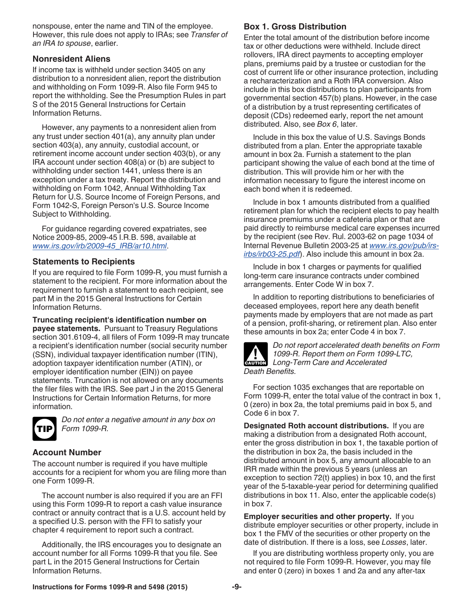<span id="page-8-0"></span>nonspouse, enter the name and TIN of the employee. However, this rule does not apply to IRAs; see *Transfer of an IRA to spouse*, earlier.

# **Nonresident Aliens**

If income tax is withheld under section 3405 on any distribution to a nonresident alien, report the distribution and withholding on Form 1099-R. Also file Form 945 to report the withholding. See the Presumption Rules in part S of the 2015 General Instructions for Certain Information Returns.

However, any payments to a nonresident alien from any trust under section 401(a), any annuity plan under section 403(a), any annuity, custodial account, or retirement income account under section 403(b), or any IRA account under section 408(a) or (b) are subject to withholding under section 1441, unless there is an exception under a tax treaty. Report the distribution and withholding on Form 1042, Annual Withholding Tax Return for U.S. Source Income of Foreign Persons, and Form 1042-S, Foreign Person's U.S. Source Income Subject to Withholding.

For guidance regarding covered expatriates, see Notice 2009-85, 2009-45 I.R.B. 598, available at *[www.irs.gov/irb/2009-45\\_IRB/ar10.html](http://www.irs.gov/irb/2009-45_IRB/ar10.html)*.

# **Statements to Recipients**

If you are required to file Form 1099-R, you must furnish a statement to the recipient. For more information about the requirement to furnish a statement to each recipient, see part M in the 2015 General Instructions for Certain Information Returns.

**Truncating recipient's identification number on payee statements.** Pursuant to Treasury Regulations section 301.6109-4, all filers of Form 1099-R may truncate a recipient's identification number (social security number (SSN), individual taxpayer identification number (ITIN), adoption taxpayer identification number (ATIN), or employer identification number (EIN)) on payee statements. Truncation is not allowed on any documents the filer files with the IRS. See part J in the 2015 General Instructions for Certain Information Returns, for more information.



*Do not enter a negative amount in any box on Form 1099-R.*

# **Account Number**

The account number is required if you have multiple accounts for a recipient for whom you are filing more than one Form 1099-R.

The account number is also required if you are an FFI using this Form 1099-R to report a cash value insurance contract or annuity contract that is a U.S. account held by a specified U.S. person with the FFI to satisfy your chapter 4 requirement to report such a contract.

Additionally, the IRS encourages you to designate an account number for all Forms 1099-R that you file. See part L in the 2015 General Instructions for Certain Information Returns.

# **Box 1. Gross Distribution**

Enter the total amount of the distribution before income tax or other deductions were withheld. Include direct rollovers, IRA direct payments to accepting employer plans, premiums paid by a trustee or custodian for the cost of current life or other insurance protection, including a recharacterization and a Roth IRA conversion. Also include in this box distributions to plan participants from governmental section 457(b) plans. However, in the case of a distribution by a trust representing certificates of deposit (CDs) redeemed early, report the net amount distributed. Also, see *Box 6*, later.

Include in this box the value of U.S. Savings Bonds distributed from a plan. Enter the appropriate taxable amount in box 2a. Furnish a statement to the plan participant showing the value of each bond at the time of distribution. This will provide him or her with the information necessary to figure the interest income on each bond when it is redeemed.

Include in box 1 amounts distributed from a qualified retirement plan for which the recipient elects to pay health insurance premiums under a cafeteria plan or that are paid directly to reimburse medical care expenses incurred by the recipient (see Rev. Rul. 2003-62 on page 1034 of Internal Revenue Bulletin 2003-25 at *[www.irs.gov/pub/irs](http://www.irs.gov/pub/irs-irbs/irb03-25.pdf)[irbs/irb03-25.pdf](http://www.irs.gov/pub/irs-irbs/irb03-25.pdf)*). Also include this amount in box 2a.

Include in box 1 charges or payments for qualified long-term care insurance contracts under combined arrangements. Enter Code W in box 7.

In addition to reporting distributions to beneficiaries of deceased employees, report here any death benefit payments made by employers that are not made as part of a pension, profit-sharing, or retirement plan. Also enter these amounts in box 2a; enter Code 4 in box 7.



*Do not report accelerated death benefits on Form 1099-R. Report them on Form 1099-LTC,*  **Long-Term Care and Accelerated**<br> **CAUTION** 

For section 1035 exchanges that are reportable on Form 1099-R, enter the total value of the contract in box 1, 0 (zero) in box 2a, the total premiums paid in box 5, and Code 6 in box 7.

**Designated Roth account distributions.** If you are making a distribution from a designated Roth account, enter the gross distribution in box 1, the taxable portion of the distribution in box 2a, the basis included in the distributed amount in box 5, any amount allocable to an IRR made within the previous 5 years (unless an exception to section 72(t) applies) in box 10, and the first year of the 5-taxable-year period for determining qualified distributions in box 11. Also, enter the applicable code(s) in box 7.

**Employer securities and other property.** If you distribute employer securities or other property, include in box 1 the FMV of the securities or other property on the date of distribution. If there is a loss, see *Losses*, later.

If you are distributing worthless property only, you are not required to file Form 1099-R. However, you may file and enter 0 (zero) in boxes 1 and 2a and any after-tax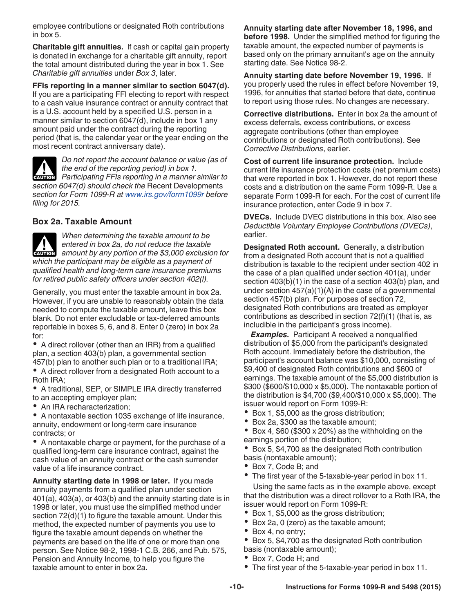<span id="page-9-0"></span>employee contributions or designated Roth contributions in box 5.

**Charitable gift annuities.** If cash or capital gain property is donated in exchange for a charitable gift annuity, report the total amount distributed during the year in box 1. See *Charitable gift annuities* under *Box 3*, later.

**FFIs reporting in a manner similar to section 6047(d).**  If you are a participating FFI electing to report with respect to a cash value insurance contract or annuity contract that is a U.S. account held by a specified U.S. person in a manner similar to section 6047(d), include in box 1 any amount paid under the contract during the reporting period (that is, the calendar year or the year ending on the most recent contract anniversary date).



*Do not report the account balance or value (as of the end of the reporting period) in box 1.*  **Participating FFIs reporting in a manner similar to** *Participating FFIs reporting in a manner similar to* 

*section 6047(d) should check the* Recent Developments *section for Form 1099-R at [www.irs.gov/form1099r](http://www.irs.gov/form1099r) before filing for 2015.*

# **Box 2a. Taxable Amount**

*When determining the taxable amount to be entered in box 2a, do not reduce the taxable*  **and a** entered in box 2a, do not reduce the taxable<br> **CAUTION** amount by any portion of the \$3,000 exclusion for *which the participant may be eligible as a payment of qualified health and long-term care insurance premiums for retired public safety officers under section 402(l).*

Generally, you must enter the taxable amount in box 2a. However, if you are unable to reasonably obtain the data needed to compute the taxable amount, leave this box blank. Do not enter excludable or tax-deferred amounts reportable in boxes 5, 6, and 8. Enter 0 (zero) in box 2a for:

• A direct rollover (other than an IRR) from a qualified plan, a section 403(b) plan, a governmental section 457(b) plan to another such plan or to a traditional IRA;

- A direct rollover from a designated Roth account to a Roth IRA;
- A traditional, SEP, or SIMPLE IRA directly transferred to an accepting employer plan;
- An IRA recharacterization;
- A nontaxable section 1035 exchange of life insurance, annuity, endowment or long-term care insurance contracts; or

A nontaxable charge or payment, for the purchase of a qualified long-term care insurance contract, against the cash value of an annuity contract or the cash surrender value of a life insurance contract.

**Annuity starting date in 1998 or later.** If you made annuity payments from a qualified plan under section 401(a), 403(a), or 403(b) and the annuity starting date is in 1998 or later, you must use the simplified method under section  $72(d)(1)$  to figure the taxable amount. Under this method, the expected number of payments you use to figure the taxable amount depends on whether the payments are based on the life of one or more than one person. See Notice 98-2, 1998-1 C.B. 266, and Pub. 575, Pension and Annuity Income, to help you figure the taxable amount to enter in box 2a.

**Annuity starting date after November 18, 1996, and before 1998.** Under the simplified method for figuring the taxable amount, the expected number of payments is based only on the primary annuitant's age on the annuity starting date. See Notice 98-2.

**Annuity starting date before November 19, 1996.** If you properly used the rules in effect before November 19, 1996, for annuities that started before that date, continue to report using those rules. No changes are necessary.

**Corrective distributions.** Enter in box 2a the amount of excess deferrals, excess contributions, or excess aggregate contributions (other than employee contributions or designated Roth contributions). See *Corrective Distributions*, earlier.

**Cost of current life insurance protection.** Include current life insurance protection costs (net premium costs) that were reported in box 1. However, do not report these costs and a distribution on the same Form 1099-R. Use a separate Form 1099-R for each. For the cost of current life insurance protection, enter Code 9 in box 7.

**DVECs.** Include DVEC distributions in this box. Also see *Deductible Voluntary Employee Contributions (DVECs)*, earlier.

**Designated Roth account.** Generally, a distribution from a designated Roth account that is not a qualified distribution is taxable to the recipient under section 402 in the case of a plan qualified under section 401(a), under section 403(b)(1) in the case of a section 403(b) plan, and under section  $457(a)(1)(A)$  in the case of a governmental section 457(b) plan. For purposes of section 72, designated Roth contributions are treated as employer contributions as described in section 72(f)(1) (that is, as includible in the participant's gross income).

**Examples.** Participant A received a nonqualified distribution of \$5,000 from the participant's designated Roth account. Immediately before the distribution, the participant's account balance was \$10,000, consisting of \$9,400 of designated Roth contributions and \$600 of earnings. The taxable amount of the \$5,000 distribution is \$300 (\$600/\$10,000 x \$5,000). The nontaxable portion of the distribution is \$4,700 (\$9,400/\$10,000 x \$5,000). The issuer would report on Form 1099-R:

- $\bullet$ Box 1, \$5,000 as the gross distribution;
- $\bullet$ Box 2a, \$300 as the taxable amount;
- $\bullet$ Box 4,  $$60$  ( $$300 \times 20\%$ ) as the withholding on the earnings portion of the distribution;
- Box 5, \$4,700 as the designated Roth contribution basis (nontaxable amount);
- Box 7, Code B; and
- The first year of the 5-taxable-year period in box 11.

Using the same facts as in the example above, except that the distribution was a direct rollover to a Roth IRA, the issuer would report on Form 1099-R:

- Box 1, \$5,000 as the gross distribution;
- Box 2a, 0 (zero) as the taxable amount;
- Box 4, no entry;
- Box 5, \$4,700 as the designated Roth contribution basis (nontaxable amount);
- Box 7, Code H; and  $\bullet$
- The first year of the 5-taxable-year period in box 11.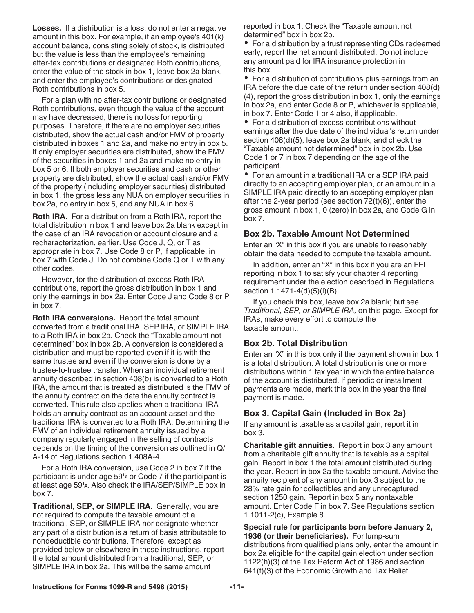<span id="page-10-0"></span>**Losses.** If a distribution is a loss, do not enter a negative amount in this box. For example, if an employee's 401(k) account balance, consisting solely of stock, is distributed but the value is less than the employee's remaining after-tax contributions or designated Roth contributions, enter the value of the stock in box 1, leave box 2a blank, and enter the employee's contributions or designated Roth contributions in box 5.

For a plan with no after-tax contributions or designated Roth contributions, even though the value of the account may have decreased, there is no loss for reporting purposes. Therefore, if there are no employer securities distributed, show the actual cash and/or FMV of property distributed in boxes 1 and 2a, and make no entry in box 5. If only employer securities are distributed, show the FMV of the securities in boxes 1 and 2a and make no entry in box 5 or 6. If both employer securities and cash or other property are distributed, show the actual cash and/or FMV of the property (including employer securities) distributed in box 1, the gross less any NUA on employer securities in box 2a, no entry in box 5, and any NUA in box 6.

**Roth IRA.** For a distribution from a Roth IRA, report the total distribution in box 1 and leave box 2a blank except in the case of an IRA revocation or account closure and a recharacterization, earlier. Use Code J, Q, or T as appropriate in box 7. Use Code 8 or P, if applicable, in box 7 with Code J. Do not combine Code Q or T with any other codes.

However, for the distribution of excess Roth IRA contributions, report the gross distribution in box 1 and only the earnings in box 2a. Enter Code J and Code 8 or P in box 7.

**Roth IRA conversions.** Report the total amount converted from a traditional IRA, SEP IRA, or SIMPLE IRA to a Roth IRA in box 2a. Check the "Taxable amount not determined" box in box 2b. A conversion is considered a distribution and must be reported even if it is with the same trustee and even if the conversion is done by a trustee-to-trustee transfer. When an individual retirement annuity described in section 408(b) is converted to a Roth IRA, the amount that is treated as distributed is the FMV of the annuity contract on the date the annuity contract is converted. This rule also applies when a traditional IRA holds an annuity contract as an account asset and the traditional IRA is converted to a Roth IRA. Determining the FMV of an individual retirement annuity issued by a company regularly engaged in the selling of contracts depends on the timing of the conversion as outlined in Q/ A-14 of Regulations section 1.408A-4.

For a Roth IRA conversion, use Code 2 in box 7 if the box 7.

**Traditional, SEP, or SIMPLE IRA.** Generally, you are not required to compute the taxable amount of a traditional, SEP, or SIMPLE IRA nor designate whether any part of a distribution is a return of basis attributable to nondeductible contributions. Therefore, except as provided below or elsewhere in these instructions, report the total amount distributed from a traditional, SEP, or SIMPLE IRA in box 2a. This will be the same amount

reported in box 1. Check the "Taxable amount not determined" box in box 2b.

• For a distribution by a trust representing CDs redeemed early, report the net amount distributed. Do not include any amount paid for IRA insurance protection in this box.

For a distribution of contributions plus earnings from an IRA before the due date of the return under section 408(d) (4), report the gross distribution in box 1, only the earnings in box 2a, and enter Code 8 or P, whichever is applicable, in box 7. Enter Code 1 or 4 also, if applicable.

For a distribution of excess contributions without earnings after the due date of the individual's return under section 408(d)(5), leave box 2a blank, and check the "Taxable amount not determined" box in box 2b. Use Code 1 or 7 in box 7 depending on the age of the participant.

For an amount in a traditional IRA or a SEP IRA paid directly to an accepting employer plan, or an amount in a SIMPLE IRA paid directly to an accepting employer plan after the 2-year period (see section 72(t)(6)), enter the gross amount in box 1, 0 (zero) in box 2a, and Code G in box 7.

# **Box 2b. Taxable Amount Not Determined**

Enter an "X" in this box if you are unable to reasonably obtain the data needed to compute the taxable amount.

In addition, enter an "X" in this box if you are an FFI reporting in box 1 to satisfy your chapter 4 reporting requirement under the election described in Regulations section 1.1471-4(d)(5)(i)(B).

If you check this box, leave box 2a blank; but see *Traditional, SEP, or SIMPLE IRA,* on this page. Except for IRAs, make every effort to compute the taxable amount.

# **Box 2b. Total Distribution**

Enter an "X" in this box only if the payment shown in box 1 is a total distribution. A total distribution is one or more distributions within 1 tax year in which the entire balance of the account is distributed. If periodic or installment payments are made, mark this box in the year the final payment is made.

# **Box 3. Capital Gain (Included in Box 2a)**

If any amount is taxable as a capital gain, report it in box 3.

participant is under age 59**<sup>1</sup> <sup>2</sup>** or Code 7 if the participant is at least age 59**<sup>1</sup> <sup>2</sup>**. Also check the IRA/SEP/SIMPLE box in **Charitable gift annuities.** Report in box 3 any amount from a charitable gift annuity that is taxable as a capital gain. Report in box 1 the total amount distributed during the year. Report in box 2a the taxable amount. Advise the annuity recipient of any amount in box 3 subject to the 28% rate gain for collectibles and any unrecaptured section 1250 gain. Report in box 5 any nontaxable amount. Enter Code F in box 7. See Regulations section 1.1011-2(c), Example 8.

> **Special rule for participants born before January 2, 1936 (or their beneficiaries).** For lump-sum distributions from qualified plans only, enter the amount in box 2a eligible for the capital gain election under section 1122(h)(3) of the Tax Reform Act of 1986 and section 641(f)(3) of the Economic Growth and Tax Relief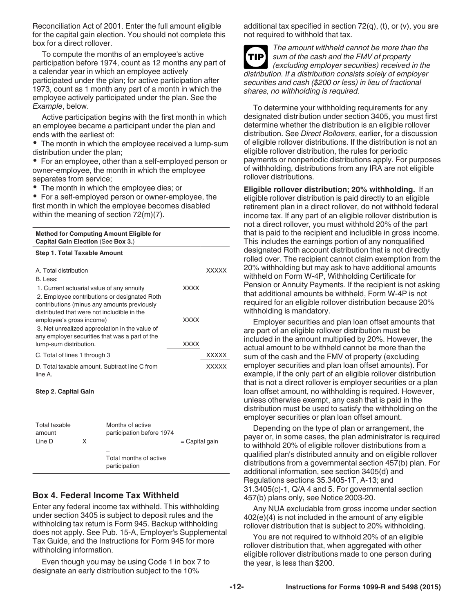<span id="page-11-0"></span>Reconciliation Act of 2001. Enter the full amount eligible for the capital gain election. You should not complete this box for a direct rollover.

To compute the months of an employee's active participation before 1974, count as 12 months any part of a calendar year in which an employee actively participated under the plan; for active participation after 1973, count as 1 month any part of a month in which the employee actively participated under the plan. See the *Example*, below.

Active participation begins with the first month in which an employee became a participant under the plan and ends with the earliest of:

• The month in which the employee received a lump-sum distribution under the plan;

For an employee, other than a self-employed person or owner-employee, the month in which the employee separates from service;

The month in which the employee dies; or

• For a self-employed person or owner-employee, the first month in which the employee becomes disabled within the meaning of section 72(m)(7).

| <b>Method for Computing Amount Eligible for</b><br>Capital Gain Election (See Box 3.)                                                                                                   |             |       |
|-----------------------------------------------------------------------------------------------------------------------------------------------------------------------------------------|-------------|-------|
| <b>Step 1. Total Taxable Amount</b>                                                                                                                                                     |             |       |
| A. Total distribution<br>B. Less:                                                                                                                                                       |             | XXXXX |
| 1. Current actuarial value of any annuity<br>2. Employee contributions or designated Roth<br>contributions (minus any amounts previously<br>distributed that were not includible in the | <b>XXXX</b> |       |
| employee's gross income)<br>3. Net unrealized appreciation in the value of<br>any employer securities that was a part of the                                                            | <b>XXXX</b> |       |
| lump-sum distribution.                                                                                                                                                                  | <b>XXXX</b> |       |
| C. Total of lines 1 through 3                                                                                                                                                           |             | XXXXX |
| D. Total taxable amount. Subtract line C from<br>line A.                                                                                                                                |             | XXXXX |

### **Step 2. Capital Gain**

| Total taxable<br>amount<br>Line D | x | Months of active<br>participation before 1974 | $=$ Capital gain |
|-----------------------------------|---|-----------------------------------------------|------------------|
|                                   |   | Total months of active<br>participation       |                  |

# **Box 4. Federal Income Tax Withheld**

Enter any federal income tax withheld. This withholding under section 3405 is subject to deposit rules and the withholding tax return is Form 945. Backup withholding does not apply. See Pub. 15-A, Employer's Supplemental Tax Guide, and the Instructions for Form 945 for more withholding information.

Even though you may be using Code 1 in box 7 to designate an early distribution subject to the 10%

additional tax specified in section  $72(q)$ , (t), or (v), you are not required to withhold that tax.



*The amount withheld cannot be more than the sum of the cash and the FMV of property (excluding employer securities) received in the distribution. If a distribution consists solely of employer securities and cash (\$200 or less) in lieu of fractional shares, no withholding is required.*

To determine your withholding requirements for any designated distribution under section 3405, you must first determine whether the distribution is an eligible rollover distribution. See *Direct Rollovers*, earlier, for a discussion of eligible rollover distributions. If the distribution is not an eligible rollover distribution, the rules for periodic payments or nonperiodic distributions apply. For purposes of withholding, distributions from any IRA are not eligible rollover distributions.

**Eligible rollover distribution; 20% withholding.** If an eligible rollover distribution is paid directly to an eligible retirement plan in a direct rollover, do not withhold federal income tax. If any part of an eligible rollover distribution is not a direct rollover, you must withhold 20% of the part that is paid to the recipient and includible in gross income. This includes the earnings portion of any nonqualified designated Roth account distribution that is not directly rolled over. The recipient cannot claim exemption from the 20% withholding but may ask to have additional amounts withheld on Form W-4P, Withholding Certificate for Pension or Annuity Payments. If the recipient is not asking that additional amounts be withheld, Form W-4P is not required for an eligible rollover distribution because 20% withholding is mandatory.

Employer securities and plan loan offset amounts that are part of an eligible rollover distribution must be included in the amount multiplied by 20%. However, the actual amount to be withheld cannot be more than the sum of the cash and the FMV of property (excluding employer securities and plan loan offset amounts). For example, if the only part of an eligible rollover distribution that is not a direct rollover is employer securities or a plan loan offset amount, no withholding is required. However, unless otherwise exempt, any cash that is paid in the distribution must be used to satisfy the withholding on the employer securities or plan loan offset amount.

Depending on the type of plan or arrangement, the payer or, in some cases, the plan administrator is required to withhold 20% of eligible rollover distributions from a qualified plan's distributed annuity and on eligible rollover distributions from a governmental section 457(b) plan. For additional information, see section 3405(d) and Regulations sections 35.3405-1T, A-13; and 31.3405(c)-1, Q/A 4 and 5. For governmental section 457(b) plans only, see Notice 2003-20.

Any NUA excludable from gross income under section 402(e)(4) is not included in the amount of any eligible rollover distribution that is subject to 20% withholding.

You are not required to withhold 20% of an eligible rollover distribution that, when aggregated with other eligible rollover distributions made to one person during the year, is less than \$200.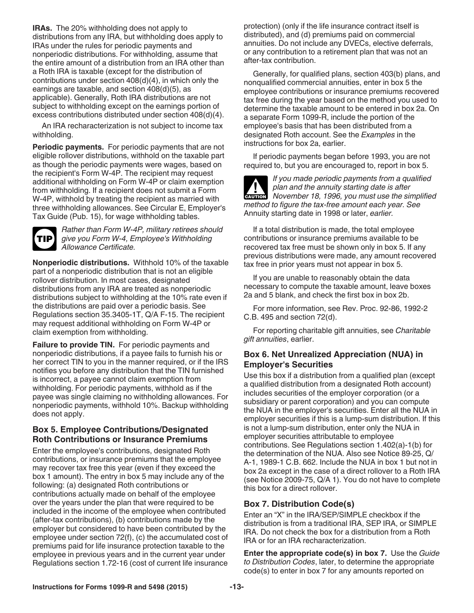<span id="page-12-0"></span>**IRAs.** The 20% withholding does not apply to distributions from any IRA, but withholding does apply to IRAs under the rules for periodic payments and nonperiodic distributions. For withholding, assume that the entire amount of a distribution from an IRA other than a Roth IRA is taxable (except for the distribution of contributions under section 408(d)(4), in which only the earnings are taxable, and section 408(d)(5), as applicable). Generally, Roth IRA distributions are not subject to withholding except on the earnings portion of excess contributions distributed under section 408(d)(4).

An IRA recharacterization is not subject to income tax withholding.

**Periodic payments.** For periodic payments that are not eligible rollover distributions, withhold on the taxable part as though the periodic payments were wages, based on the recipient's Form W-4P. The recipient may request additional withholding on Form W-4P or claim exemption from withholding. If a recipient does not submit a Form W-4P, withhold by treating the recipient as married with three withholding allowances. See Circular E, Employer's Tax Guide (Pub. 15), for wage withholding tables.



*Rather than Form W-4P, military retirees should give you Form W-4, Employee's Withholding Allowance Certificate.*

**Nonperiodic distributions.** Withhold 10% of the taxable part of a nonperiodic distribution that is not an eligible rollover distribution. In most cases, designated distributions from any IRA are treated as nonperiodic distributions subject to withholding at the 10% rate even if the distributions are paid over a periodic basis. See Regulations section 35.3405-1T, Q/A F-15. The recipient may request additional withholding on Form W-4P or claim exemption from withholding.

**Failure to provide TIN.** For periodic payments and nonperiodic distributions, if a payee fails to furnish his or her correct TIN to you in the manner required, or if the IRS notifies you before any distribution that the TIN furnished is incorrect, a payee cannot claim exemption from withholding. For periodic payments, withhold as if the payee was single claiming no withholding allowances. For nonperiodic payments, withhold 10%. Backup withholding does not apply.

# **Box 5. Employee Contributions/Designated Roth Contributions or Insurance Premiums**

Enter the employee's contributions, designated Roth contributions, or insurance premiums that the employee may recover tax free this year (even if they exceed the box 1 amount). The entry in box 5 may include any of the following: (a) designated Roth contributions or contributions actually made on behalf of the employee over the years under the plan that were required to be included in the income of the employee when contributed (after-tax contributions), (b) contributions made by the employer but considered to have been contributed by the employee under section 72(f), (c) the accumulated cost of premiums paid for life insurance protection taxable to the employee in previous years and in the current year under Regulations section 1.72-16 (cost of current life insurance

protection) (only if the life insurance contract itself is distributed), and (d) premiums paid on commercial annuities. Do not include any DVECs, elective deferrals, or any contribution to a retirement plan that was not an after-tax contribution.

Generally, for qualified plans, section 403(b) plans, and nonqualified commercial annuities, enter in box 5 the employee contributions or insurance premiums recovered tax free during the year based on the method you used to determine the taxable amount to be entered in box 2a. On a separate Form 1099-R, include the portion of the employee's basis that has been distributed from a designated Roth account. See the *Examples* in the instructions for box 2a, earlier.

If periodic payments began before 1993, you are not required to, but you are encouraged to, report in box 5.



*If you made periodic payments from a qualified plan and the annuity starting date is after*  plan and the annuity starting date is after<br>November 18, 1996, you must use the simplified *method to figure the tax-free amount each year. See*  Annuity starting date in 1998 or later, *earlier.*

If a total distribution is made, the total employee contributions or insurance premiums available to be recovered tax free must be shown only in box 5. If any previous distributions were made, any amount recovered tax free in prior years must not appear in box 5.

If you are unable to reasonably obtain the data necessary to compute the taxable amount, leave boxes 2a and 5 blank, and check the first box in box 2b.

For more information, see Rev. Proc. 92-86, 1992-2 C.B. 495 and section 72(d).

For reporting charitable gift annuities, see *Charitable gift annuities*, earlier.

# **Box 6. Net Unrealized Appreciation (NUA) in Employer's Securities**

Use this box if a distribution from a qualified plan (except a qualified distribution from a designated Roth account) includes securities of the employer corporation (or a subsidiary or parent corporation) and you can compute the NUA in the employer's securities. Enter all the NUA in employer securities if this is a lump-sum distribution. If this is not a lump-sum distribution, enter only the NUA in employer securities attributable to employee contributions. See Regulations section 1.402(a)-1(b) for the determination of the NUA. Also see Notice 89-25, Q/ A-1, 1989-1 C.B. 662. Include the NUA in box 1 but not in box 2a except in the case of a direct rollover to a Roth IRA (see Notice 2009-75, Q/A 1). You do not have to complete this box for a direct rollover.

# **Box 7. Distribution Code(s)**

Enter an "X" in the IRA/SEP/SIMPLE checkbox if the distribution is from a traditional IRA, SEP IRA, or SIMPLE IRA. Do not check the box for a distribution from a Roth IRA or for an IRA recharacterization.

**Enter the appropriate code(s) in box 7.** Use the *Guide to Distribution Codes*, later, to determine the appropriate code(s) to enter in box 7 for any amounts reported on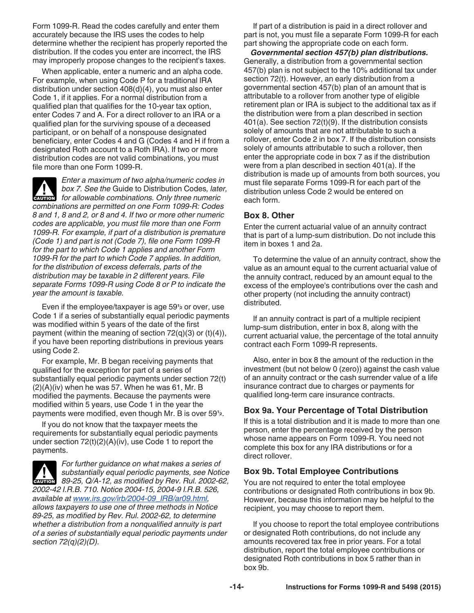<span id="page-13-0"></span>Form 1099-R. Read the codes carefully and enter them accurately because the IRS uses the codes to help determine whether the recipient has properly reported the distribution. If the codes you enter are incorrect, the IRS may improperly propose changes to the recipient's taxes.

When applicable, enter a numeric and an alpha code. For example, when using Code P for a traditional IRA distribution under section 408(d)(4), you must also enter Code 1, if it applies. For a normal distribution from a qualified plan that qualifies for the 10-year tax option, enter Codes 7 and A. For a direct rollover to an IRA or a qualified plan for the surviving spouse of a deceased participant, or on behalf of a nonspouse designated beneficiary, enter Codes 4 and G (Codes 4 and H if from a designated Roth account to a Roth IRA). If two or more distribution codes are not valid combinations, you must file more than one Form 1099-R.

*Enter a maximum of two alpha/numeric codes in box 7. See the* Guide to Distribution Codes*, later, for allowable combinations. Only three numeric for allowable combinations. Only three numeric combinations are permitted on one Form 1099-R: Codes 8 and 1, 8 and 2, or 8 and 4. If two or more other numeric codes are applicable, you must file more than one Form 1099-R. For example, if part of a distribution is premature (Code 1) and part is not (Code 7), file one Form 1099-R for the part to which Code 1 applies and another Form 1099-R for the part to which Code 7 applies. In addition, for the distribution of excess deferrals, parts of the distribution may be taxable in 2 different years. File separate Forms 1099-R using Code 8 or P to indicate the year the amount is taxable.*

Even if the employee/taxpayer is age 59**<sup>1</sup> <sup>2</sup>** or over, use Code 1 if a series of substantially equal periodic payments was modified within 5 years of the date of the first payment (within the meaning of section  $72(q)(3)$  or  $(t)(4)$ ), if you have been reporting distributions in previous years using Code 2.

For example, Mr. B began receiving payments that qualified for the exception for part of a series of substantially equal periodic payments under section 72(t)  $(2)(A)(iv)$  when he was 57. When he was 61, Mr. B modified the payments. Because the payments were modified within 5 years, use Code 1 in the year the payments were modified, even though Mr. B is over 59**<sup>1</sup> 2**.

If you do not know that the taxpayer meets the requirements for substantially equal periodic payments under section  $72(t)(2)(A)(iv)$ , use Code 1 to report the payments.

**CAUTION !**

*For further guidance on what makes a series of substantially equal periodic payments, see Notice 89-25, Q/A-12, as modified by Rev. Rul. 2002-62, 2002-42 I.R.B. 710. Notice 2004-15, 2004-9 I.R.B. 526, available at [www.irs.gov/irb/2004-09\\_IRB/ar09.html,](http://www.irs.gov/irb/2004-09_IRB/ar09.html) allows taxpayers to use one of three methods in Notice 89-25, as modified by Rev. Rul. 2002-62, to determine whether a distribution from a nonqualified annuity is part of a series of substantially equal periodic payments under section 72(q)(2)(D).*

If part of a distribution is paid in a direct rollover and part is not, you must file a separate Form 1099-R for each part showing the appropriate code on each form.

*Governmental section 457(b) plan distributions.*  Generally, a distribution from a governmental section 457(b) plan is not subject to the 10% additional tax under section 72(t). However, an early distribution from a governmental section 457(b) plan of an amount that is attributable to a rollover from another type of eligible retirement plan or IRA is subject to the additional tax as if the distribution were from a plan described in section 401(a). See section 72(t)(9). If the distribution consists solely of amounts that are not attributable to such a rollover, enter Code 2 in box 7. If the distribution consists solely of amounts attributable to such a rollover, then enter the appropriate code in box 7 as if the distribution were from a plan described in section 401(a). If the distribution is made up of amounts from both sources, you must file separate Forms 1099-R for each part of the distribution unless Code 2 would be entered on each form.

# **Box 8. Other**

Enter the current actuarial value of an annuity contract that is part of a lump-sum distribution. Do not include this item in boxes 1 and 2a.

To determine the value of an annuity contract, show the value as an amount equal to the current actuarial value of the annuity contract, reduced by an amount equal to the excess of the employee's contributions over the cash and other property (not including the annuity contract) distributed.

If an annuity contract is part of a multiple recipient lump-sum distribution, enter in box 8, along with the current actuarial value, the percentage of the total annuity contract each Form 1099-R represents.

Also, enter in box 8 the amount of the reduction in the investment (but not below 0 (zero)) against the cash value of an annuity contract or the cash surrender value of a life insurance contract due to charges or payments for qualified long-term care insurance contracts.

# **Box 9a. Your Percentage of Total Distribution**

If this is a total distribution and it is made to more than one person, enter the percentage received by the person whose name appears on Form 1099-R. You need not complete this box for any IRA distributions or for a direct rollover.

# **Box 9b. Total Employee Contributions**

You are not required to enter the total employee contributions or designated Roth contributions in box 9b. However, because this information may be helpful to the recipient, you may choose to report them.

If you choose to report the total employee contributions or designated Roth contributions, do not include any amounts recovered tax free in prior years. For a total distribution, report the total employee contributions or designated Roth contributions in box 5 rather than in box 9b.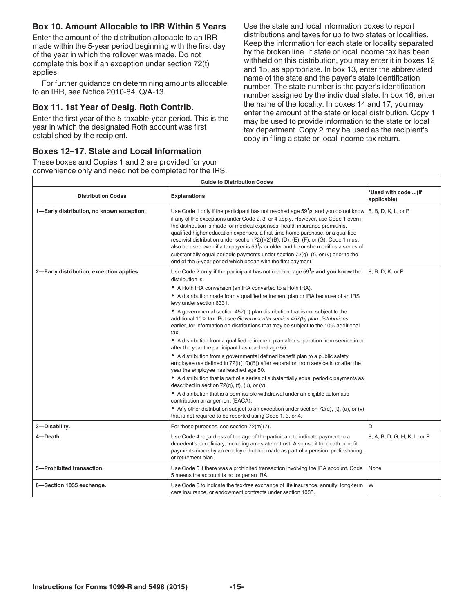# <span id="page-14-0"></span>**Box 10. Amount Allocable to IRR Within 5 Years**

Enter the amount of the distribution allocable to an IRR made within the 5-year period beginning with the first day of the year in which the rollover was made. Do not complete this box if an exception under section 72(t) applies.

For further guidance on determining amounts allocable to an IRR, see Notice 2010-84, Q/A-13.

# **Box 11. 1st Year of Desig. Roth Contrib.**

Enter the first year of the 5-taxable-year period. This is the year in which the designated Roth account was first established by the recipient.

# **Boxes 12–17. State and Local Information**

These boxes and Copies 1 and 2 are provided for your convenience only and need not be completed for the IRS. Use the state and local information boxes to report distributions and taxes for up to two states or localities. Keep the information for each state or locality separated by the broken line. If state or local income tax has been withheld on this distribution, you may enter it in boxes 12 and 15, as appropriate. In box 13, enter the abbreviated name of the state and the payer's state identification number. The state number is the payer's identification number assigned by the individual state. In box 16, enter the name of the locality. In boxes 14 and 17, you may enter the amount of the state or local distribution. Copy 1 may be used to provide information to the state or local tax department. Copy 2 may be used as the recipient's copy in filing a state or local income tax return.

|                                           | <b>Guide to Distribution Codes</b>                                                                                                                                                                                                                                                                                                                                                                                                                                                                                                                                                                                                                                                                                                                                                                                                                                                                                                                                                                                                                                                                                                                                                                                                                                                                                                                                                 |                                     |
|-------------------------------------------|------------------------------------------------------------------------------------------------------------------------------------------------------------------------------------------------------------------------------------------------------------------------------------------------------------------------------------------------------------------------------------------------------------------------------------------------------------------------------------------------------------------------------------------------------------------------------------------------------------------------------------------------------------------------------------------------------------------------------------------------------------------------------------------------------------------------------------------------------------------------------------------------------------------------------------------------------------------------------------------------------------------------------------------------------------------------------------------------------------------------------------------------------------------------------------------------------------------------------------------------------------------------------------------------------------------------------------------------------------------------------------|-------------------------------------|
| <b>Distribution Codes</b>                 | Explanations                                                                                                                                                                                                                                                                                                                                                                                                                                                                                                                                                                                                                                                                                                                                                                                                                                                                                                                                                                                                                                                                                                                                                                                                                                                                                                                                                                       | *Used with code  (if<br>applicable) |
| 1-Early distribution, no known exception. | Use Code 1 only if the participant has not reached age 59 $\frac{1}{2}$ , and you do not know $\vert$ 8, B, D, K, L, or P<br>if any of the exceptions under Code 2, 3, or 4 apply. However, use Code 1 even if<br>the distribution is made for medical expenses, health insurance premiums,<br>qualified higher education expenses, a first-time home purchase, or a qualified<br>reservist distribution under section 72(t)(2)(B), (D), (E), (F), or (G). Code 1 must<br>also be used even if a taxpayer is $591$ or older and he or she modifies a series of<br>substantially equal periodic payments under section 72(q), (t), or (v) prior to the<br>end of the 5-year period which began with the first payment.                                                                                                                                                                                                                                                                                                                                                                                                                                                                                                                                                                                                                                                              |                                     |
| 2-Early distribution, exception applies.  | Use Code 2 only if the participant has not reached age 59 $\frac{1}{2}$ and you know the  8, B, D, K, or P<br>distribution is:<br>A Roth IRA conversion (an IRA converted to a Roth IRA).<br>• A distribution made from a qualified retirement plan or IRA because of an IRS<br>levy under section 6331.<br>$\bullet$ A governmental section 457(b) plan distribution that is not subject to the<br>additional 10% tax. But see Governmental section 457(b) plan distributions,<br>earlier, for information on distributions that may be subject to the 10% additional<br>• A distribution from a qualified retirement plan after separation from service in or  <br>after the year the participant has reached age 55.<br>A distribution from a governmental defined benefit plan to a public safety<br>employee (as defined in $72(t)(10)(B)$ ) after separation from service in or after the<br>year the employee has reached age 50.<br>$\bullet$ A distribution that is part of a series of substantially equal periodic payments as<br>described in section $72(q)$ , (t), (u), or (v).<br>• A distribution that is a permissible withdrawal under an eligible automatic<br>contribution arrangement (EACA).<br>• Any other distribution subject to an exception under section 72(q), (t), (u), or (v) $\vert$<br>that is not required to be reported using Code 1, 3, or 4. |                                     |
|                                           |                                                                                                                                                                                                                                                                                                                                                                                                                                                                                                                                                                                                                                                                                                                                                                                                                                                                                                                                                                                                                                                                                                                                                                                                                                                                                                                                                                                    |                                     |
| 3-Disability.                             | For these purposes, see section 72(m)(7).                                                                                                                                                                                                                                                                                                                                                                                                                                                                                                                                                                                                                                                                                                                                                                                                                                                                                                                                                                                                                                                                                                                                                                                                                                                                                                                                          |                                     |
| 4-Death.                                  | Use Code 4 regardless of the age of the participant to indicate payment to a<br>decedent's beneficiary, including an estate or trust. Also use it for death benefit<br>payments made by an employer but not made as part of a pension, profit-sharing,<br>or retirement plan.                                                                                                                                                                                                                                                                                                                                                                                                                                                                                                                                                                                                                                                                                                                                                                                                                                                                                                                                                                                                                                                                                                      | 8, A, B, D, G, H, K, L, or P        |
| 5-Prohibited transaction.                 | Use Code 5 if there was a prohibited transaction involving the IRA account. Code $\big $ None<br>5 means the account is no longer an IRA.                                                                                                                                                                                                                                                                                                                                                                                                                                                                                                                                                                                                                                                                                                                                                                                                                                                                                                                                                                                                                                                                                                                                                                                                                                          |                                     |
| 6-Section 1035 exchange.                  | Use Code 6 to indicate the tax-free exchange of life insurance, annuity, long-term $\vert W \vert$<br>care insurance, or endowment contracts under section 1035.                                                                                                                                                                                                                                                                                                                                                                                                                                                                                                                                                                                                                                                                                                                                                                                                                                                                                                                                                                                                                                                                                                                                                                                                                   |                                     |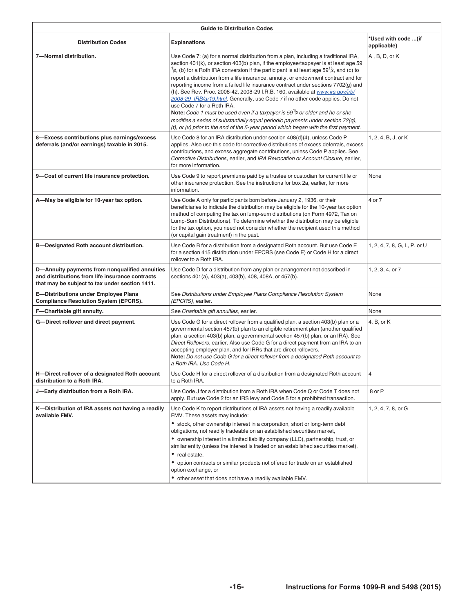<span id="page-15-0"></span>

|                                                                                                                                                     | <b>Guide to Distribution Codes</b>                                                                                                                                                                                                                                                                                                                                                                                                                                                                                                                                                                                                                                                                                                                                                                                                                                                                                                   |                                    |
|-----------------------------------------------------------------------------------------------------------------------------------------------------|--------------------------------------------------------------------------------------------------------------------------------------------------------------------------------------------------------------------------------------------------------------------------------------------------------------------------------------------------------------------------------------------------------------------------------------------------------------------------------------------------------------------------------------------------------------------------------------------------------------------------------------------------------------------------------------------------------------------------------------------------------------------------------------------------------------------------------------------------------------------------------------------------------------------------------------|------------------------------------|
| <b>Distribution Codes</b>                                                                                                                           | Explanations                                                                                                                                                                                                                                                                                                                                                                                                                                                                                                                                                                                                                                                                                                                                                                                                                                                                                                                         | *Used with code (if<br>applicable) |
| 7-Normal distribution.                                                                                                                              | Use Code 7: (a) for a normal distribution from a plan, including a traditional IRA,<br>section $401(k)$ , or section $403(b)$ plan, if the employee/taxpayer is at least age 59<br>$ ^{1}/2$ , (b) for a Roth IRA conversion if the participant is at least age 59 $^{1}/2$ , and (c) to<br>report a distribution from a life insurance, annuity, or endowment contract and for<br>reporting income from a failed life insurance contract under sections 7702(g) and<br>(h). See Rev. Proc. 2008-42, 2008-29 I.R.B. 160, available at www.irs.gov/irb/<br>2008-29_IRB/ar19.html. Generally, use Code 7 if no other code applies. Do not<br>use Code 7 for a Roth IRA.<br>Note: Code 1 must be used even if a taxpayer is $591$ ar older and he or she<br>modifies a series of substantially equal periodic payments under section 72(q),<br>$(t)$ , or (v) prior to the end of the 5-year period which began with the first payment. | A, B, D, or K                      |
| 8-Excess contributions plus earnings/excess<br>deferrals (and/or earnings) taxable in 2015.                                                         | Use Code 8 for an IRA distribution under section 408(d)(4), unless Code P<br>applies. Also use this code for corrective distributions of excess deferrals, excess<br>contributions, and excess aggregate contributions, unless Code P applies. See<br>Corrective Distributions, earlier, and IRA Revocation or Account Closure, earlier,<br>for more information.                                                                                                                                                                                                                                                                                                                                                                                                                                                                                                                                                                    | 1, 2, 4, B, J, or K                |
| 9-Cost of current life insurance protection.                                                                                                        | Use Code 9 to report premiums paid by a trustee or custodian for current life or   None<br>other insurance protection. See the instructions for box 2a, earlier, for more<br>information.                                                                                                                                                                                                                                                                                                                                                                                                                                                                                                                                                                                                                                                                                                                                            |                                    |
| A-May be eligible for 10-year tax option.                                                                                                           | Use Code A only for participants born before January 2, 1936, or their<br>beneficiaries to indicate the distribution may be eligible for the 10-year tax option<br>method of computing the tax on lump-sum distributions (on Form 4972, Tax on<br>Lump-Sum Distributions). To determine whether the distribution may be eligible<br>for the tax option, you need not consider whether the recipient used this method<br>(or capital gain treatment) in the past.                                                                                                                                                                                                                                                                                                                                                                                                                                                                     | $4$ or $7$                         |
| <b>B-Designated Roth account distribution.</b>                                                                                                      | Use Code B for a distribution from a designated Roth account. But use Code E<br>for a section 415 distribution under EPCRS (see Code E) or Code H for a direct<br>rollover to a Roth IRA.                                                                                                                                                                                                                                                                                                                                                                                                                                                                                                                                                                                                                                                                                                                                            | 1, 2, 4, 7, 8, G, L, P, or U       |
| D-Annuity payments from nonqualified annuities<br>and distributions from life insurance contracts<br>that may be subject to tax under section 1411. | Use Code D for a distribution from any plan or arrangement not described in<br>sections 401(a), 403(a), 403(b), 408, 408A, or 457(b).                                                                                                                                                                                                                                                                                                                                                                                                                                                                                                                                                                                                                                                                                                                                                                                                | $1, 2, 3, 4,$ or $7$               |
| E-Distributions under Employee Plans<br><b>Compliance Resolution System (EPCRS).</b>                                                                | See Distributions under Employee Plans Compliance Resolution System<br>(EPCRS), earlier.                                                                                                                                                                                                                                                                                                                                                                                                                                                                                                                                                                                                                                                                                                                                                                                                                                             | <b>None</b>                        |
| F-Charitable gift annuity.                                                                                                                          | See Charitable gift annuities, earlier.                                                                                                                                                                                                                                                                                                                                                                                                                                                                                                                                                                                                                                                                                                                                                                                                                                                                                              |                                    |
| G-Direct rollover and direct payment.                                                                                                               | Use Code G for a direct rollover from a qualified plan, a section 403(b) plan or a $\vert 4, B$ , or K<br>governmental section 457(b) plan to an eligible retirement plan (another qualified<br>$\vert$ plan, a section 403(b) plan, a governmental section 457(b) plan, or an IRA). See<br>Direct Rollovers, earlier. Also use Code G for a direct payment from an IRA to an<br>accepting employer plan, and for IRRs that are direct rollovers.<br>Note: Do not use Code G for a direct rollover from a designated Roth account to<br>a Roth IRA. Use Code H.                                                                                                                                                                                                                                                                                                                                                                      |                                    |
| H-Direct rollover of a designated Roth account<br>distribution to a Roth IRA.                                                                       | Use Code H for a direct rollover of a distribution from a designated Roth account<br>to a Roth IRA.                                                                                                                                                                                                                                                                                                                                                                                                                                                                                                                                                                                                                                                                                                                                                                                                                                  |                                    |
| J-Early distribution from a Roth IRA.                                                                                                               | Use Code J for a distribution from a Roth IRA when Code Q or Code T does not $\ 8$ or P<br>apply. But use Code 2 for an IRS levy and Code 5 for a prohibited transaction.                                                                                                                                                                                                                                                                                                                                                                                                                                                                                                                                                                                                                                                                                                                                                            |                                    |
| K-Distribution of IRA assets not having a readily<br>available FMV.                                                                                 | Use Code K to report distributions of IRA assets not having a readily available<br>FMV. These assets may include:<br>$\bullet$ stock, other ownership interest in a corporation, short or long-term debt<br>obligations, not readily tradeable on an established securities market,<br>• ownership interest in a limited liability company (LLC), partnership, trust, or<br>similar entity (unless the interest is traded on an established securities market),<br>• real estate,<br>• option contracts or similar products not offered for trade on an established                                                                                                                                                                                                                                                                                                                                                                  | , 2, 4, 7, 8, or G                 |
|                                                                                                                                                     | option exchange, or<br>• other asset that does not have a readily available FMV.                                                                                                                                                                                                                                                                                                                                                                                                                                                                                                                                                                                                                                                                                                                                                                                                                                                     |                                    |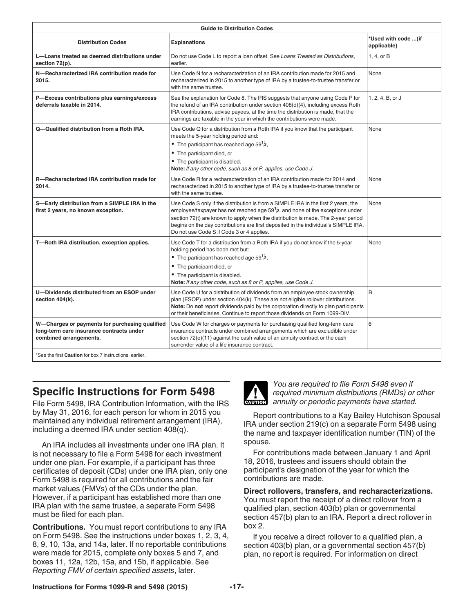<span id="page-16-0"></span>

|                                                                                     | <b>Guide to Distribution Codes</b>                                                                                                                                                                                                                                                                                                                                                                    |                                    |
|-------------------------------------------------------------------------------------|-------------------------------------------------------------------------------------------------------------------------------------------------------------------------------------------------------------------------------------------------------------------------------------------------------------------------------------------------------------------------------------------------------|------------------------------------|
| <b>Distribution Codes</b>                                                           | <b>Explanations</b>                                                                                                                                                                                                                                                                                                                                                                                   | *Used with code (if<br>applicable) |
| L-Loans treated as deemed distributions under<br>section 72(p).                     | Do not use Code L to report a loan offset. See Loans Treated as Distributions,                                                                                                                                                                                                                                                                                                                        | 1, 4, or B                         |
| N-Recharacterized IRA contribution made for<br>2015.                                | Use Code N for a recharacterization of an IRA contribution made for 2015 and<br>recharacterized in 2015 to another type of IRA by a trustee-to-trustee transfer or<br>with the same trustee.                                                                                                                                                                                                          | <b>None</b>                        |
| P-Excess contributions plus earnings/excess<br>deferrals taxable in 2014.           | See the explanation for Code 8. The IRS suggests that anyone using Code P for $\vert$ 1, 2, 4, B, or J<br>the refund of an IRA contribution under section 408(d)(4), including excess Roth<br>IRA contributions, advise payees, at the time the distribution is made, that the<br>earnings are taxable in the year in which the contributions were made.                                              |                                    |
| Q-Qualified distribution from a Roth IRA.                                           | Use Code Q for a distribution from a Roth IRA if you know that the participant<br>meets the 5-year holding period and:<br>• The participant has reached age $59^{1}/2$ ,<br>• The participant died, or<br>• The participant is disabled.<br>Note: If any other code, such as 8 or P, applies, use Code J.                                                                                             | None                               |
| R-Recharacterized IRA contribution made for<br>2014.                                | Use Code R for a recharacterization of an IRA contribution made for 2014 and None<br>recharacterized in 2015 to another type of IRA by a trustee-to-trustee transfer or<br>with the same trustee.                                                                                                                                                                                                     |                                    |
| S-Early distribution from a SIMPLE IRA in the<br>first 2 years, no known exception. | Use Code S only if the distribution is from a SIMPLE IRA in the first 2 years, the None<br>employee/taxpayer has not reached age 59 $1/2$ , and none of the exceptions under<br>section 72(t) are known to apply when the distribution is made. The 2-year period<br>begins on the day contributions are first deposited in the individual's SIMPLE IRA.<br>Do not use Code S if Code 3 or 4 applies. |                                    |
| T-Roth IRA distribution, exception applies.                                         | Use Code T for a distribution from a Roth IRA if you do not know if the 5-year<br>holding period has been met but:<br>• The participant has reached age $591/2$ ,<br>• The participant died, or<br>• The participant is disabled.<br>Note: If any other code, such as 8 or P, applies, use Code J.                                                                                                    | None                               |
| U-Dividends distributed from an ESOP under<br>section 404(k).                       | Use Code U for a distribution of dividends from an employee stock ownership<br>plan (ESOP) under section 404(k). These are not eligible rollover distributions.<br>Note: Do not report dividends paid by the corporation directly to plan participants<br>or their beneficiaries. Continue to report those dividends on Form 1099-DIV.                                                                |                                    |
| long-term care insurance contracts under<br>combined arrangements.                  | W-Charges or payments for purchasing qualified Use Code W for charges or payments for purchasing qualified long-term care<br>insurance contracts under combined arrangements which are excludible under<br>section 72(e)(11) against the cash value of an annuity contract or the cash<br>surrender value of a life insurance contract.                                                               |                                    |
| *See the first Caution for box 7 instructions, earlier.                             |                                                                                                                                                                                                                                                                                                                                                                                                       |                                    |

# **Specific Instructions for Form 5498**

File Form 5498, IRA Contribution Information, with the IRS by May 31, 2016, for each person for whom in 2015 you maintained any individual retirement arrangement (IRA), including a deemed IRA under section 408(q).

An IRA includes all investments under one IRA plan. It is not necessary to file a Form 5498 for each investment under one plan. For example, if a participant has three certificates of deposit (CDs) under one IRA plan, only one Form 5498 is required for all contributions and the fair market values (FMVs) of the CDs under the plan. However, if a participant has established more than one IRA plan with the same trustee, a separate Form 5498 must be filed for each plan.

**Contributions.** You must report contributions to any IRA on Form 5498. See the instructions under boxes 1, 2, 3, 4, 8, 9, 10, 13a, and 14a, later. If no reportable contributions were made for 2015, complete only boxes 5 and 7, and boxes 11, 12a, 12b, 15a, and 15b, if applicable. See *Reporting FMV of certain specified assets*, later.



*You are required to file Form 5498 even if required minimum distributions (RMDs) or other*  **z** *annuity or periodic payments have started.* 

Report contributions to a Kay Bailey Hutchison Spousal IRA under section 219(c) on a separate Form 5498 using the name and taxpayer identification number (TIN) of the spouse.

For contributions made between January 1 and April 18, 2016, trustees and issuers should obtain the participant's designation of the year for which the contributions are made.

**Direct rollovers, transfers, and recharacterizations.**

You must report the receipt of a direct rollover from a qualified plan, section 403(b) plan or governmental section 457(b) plan to an IRA. Report a direct rollover in box 2.

If you receive a direct rollover to a qualified plan, a section 403(b) plan, or a governmental section 457(b) plan, no report is required. For information on direct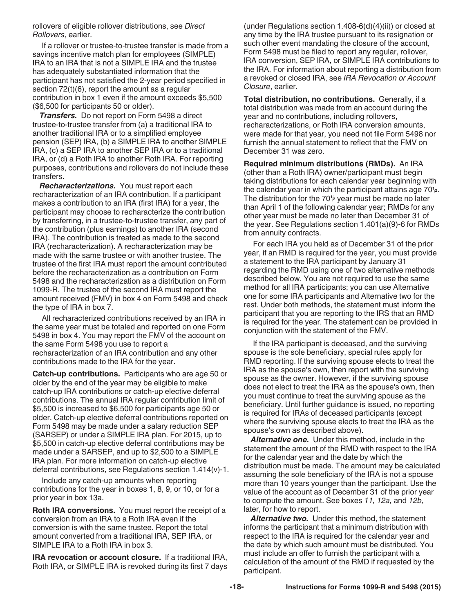<span id="page-17-0"></span>rollovers of eligible rollover distributions, see *Direct Rollovers*, earlier.

If a rollover or trustee-to-trustee transfer is made from a savings incentive match plan for employees (SIMPLE) IRA to an IRA that is not a SIMPLE IRA and the trustee has adequately substantiated information that the participant has not satisfied the 2-year period specified in section 72(t)(6), report the amount as a regular contribution in box 1 even if the amount exceeds \$5,500 (\$6,500 for participants 50 or older).

*Transfers.* Do not report on Form 5498 a direct trustee-to-trustee transfer from (a) a traditional IRA to another traditional IRA or to a simplified employee pension (SEP) IRA, (b) a SIMPLE IRA to another SIMPLE IRA, (c) a SEP IRA to another SEP IRA or to a traditional IRA, or (d) a Roth IRA to another Roth IRA. For reporting purposes, contributions and rollovers do not include these transfers.

*Recharacterizations.* You must report each recharacterization of an IRA contribution. If a participant makes a contribution to an IRA (first IRA) for a year, the participant may choose to recharacterize the contribution by transferring, in a trustee-to-trustee transfer, any part of the contribution (plus earnings) to another IRA (second IRA). The contribution is treated as made to the second IRA (recharacterization). A recharacterization may be made with the same trustee or with another trustee. The trustee of the first IRA must report the amount contributed before the recharacterization as a contribution on Form 5498 and the recharacterization as a distribution on Form 1099-R. The trustee of the second IRA must report the amount received (FMV) in box 4 on Form 5498 and check the type of IRA in box 7.

All recharacterized contributions received by an IRA in the same year must be totaled and reported on one Form 5498 in box 4. You may report the FMV of the account on the same Form 5498 you use to report a recharacterization of an IRA contribution and any other contributions made to the IRA for the year.

**Catch-up contributions.** Participants who are age 50 or older by the end of the year may be eligible to make catch-up IRA contributions or catch-up elective deferral contributions. The annual IRA regular contribution limit of \$5,500 is increased to \$6,500 for participants age 50 or older. Catch-up elective deferral contributions reported on Form 5498 may be made under a salary reduction SEP (SARSEP) or under a SIMPLE IRA plan. For 2015, up to \$5,500 in catch-up elective deferral contributions may be made under a SARSEP, and up to \$2,500 to a SIMPLE IRA plan. For more information on catch-up elective deferral contributions, see Regulations section 1.414(v)-1.

Include any catch-up amounts when reporting contributions for the year in boxes 1, 8, 9, or 10, or for a prior year in box 13a.

**Roth IRA conversions.** You must report the receipt of a conversion from an IRA to a Roth IRA even if the conversion is with the same trustee. Report the total amount converted from a traditional IRA, SEP IRA, or SIMPLE IRA to a Roth IRA in box 3.

**IRA revocation or account closure.** If a traditional IRA, Roth IRA, or SIMPLE IRA is revoked during its first 7 days

(under Regulations section 1.408-6(d)(4)(ii)) or closed at any time by the IRA trustee pursuant to its resignation or such other event mandating the closure of the account, Form 5498 must be filed to report any regular, rollover, IRA conversion, SEP IRA, or SIMPLE IRA contributions to the IRA. For information about reporting a distribution from a revoked or closed IRA, see *IRA Revocation or Account Closure*, earlier.

**Total distribution, no contributions.** Generally, if a total distribution was made from an account during the year and no contributions, including rollovers, recharacterizations, or Roth IRA conversion amounts, were made for that year, you need not file Form 5498 nor furnish the annual statement to reflect that the FMV on December 31 was zero.

**Required minimum distributions (RMDs).** An IRA (other than a Roth IRA) owner/participant must begin taking distributions for each calendar year beginning with the calendar year in which the participant attains age 70**<sup>1</sup> 2**. The distribution for the 70**<sup>1</sup> <sup>2</sup>** year must be made no later than April 1 of the following calendar year; RMDs for any other year must be made no later than December 31 of the year. See Regulations section 1.401(a)(9)-6 for RMDs from annuity contracts.

For each IRA you held as of December 31 of the prior year, if an RMD is required for the year, you must provide a statement to the IRA participant by January 31 regarding the RMD using one of two alternative methods described below. You are not required to use the same method for all IRA participants; you can use Alternative one for some IRA participants and Alternative two for the rest. Under both methods, the statement must inform the participant that you are reporting to the IRS that an RMD is required for the year. The statement can be provided in conjunction with the statement of the FMV.

If the IRA participant is deceased, and the surviving spouse is the sole beneficiary, special rules apply for RMD reporting. If the surviving spouse elects to treat the IRA as the spouse's own, then report with the surviving spouse as the owner. However, if the surviving spouse does not elect to treat the IRA as the spouse's own, then you must continue to treat the surviving spouse as the beneficiary. Until further guidance is issued, no reporting is required for IRAs of deceased participants (except where the surviving spouse elects to treat the IRA as the spouse's own as described above).

*Alternative one.* Under this method, include in the statement the amount of the RMD with respect to the IRA for the calendar year and the date by which the distribution must be made. The amount may be calculated assuming the sole beneficiary of the IRA is not a spouse more than 10 years younger than the participant. Use the value of the account as of December 31 of the prior year to compute the amount. See boxes *11, 12a,* and *12b*, later, for how to report.

*Alternative two.* Under this method, the statement informs the participant that a minimum distribution with respect to the IRA is required for the calendar year and the date by which such amount must be distributed. You must include an offer to furnish the participant with a calculation of the amount of the RMD if requested by the participant.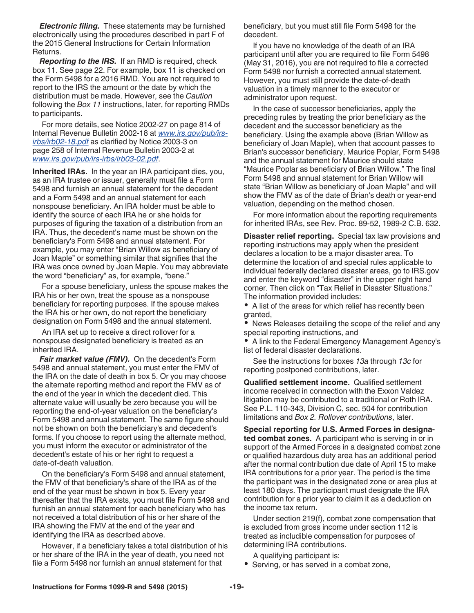<span id="page-18-0"></span>*Electronic filing.* These statements may be furnished electronically using the procedures described in part F of the 2015 General Instructions for Certain Information Returns.

*Reporting to the IRS.* If an RMD is required, check box 11. See page 22. For example, box 11 is checked on the Form 5498 for a 2016 RMD. You are not required to report to the IRS the amount or the date by which the distribution must be made. However, see the *Caution*  following the *Box 11* instructions, later, for reporting RMDs to participants.

For more details, see Notice 2002-27 on page 814 of Internal Revenue Bulletin 2002-18 at *[www.irs.gov/pub/irs](http://www.irs.gov/pub/irs-irbs/irb02-18.pdf)[irbs/irb02-18.pdf](http://www.irs.gov/pub/irs-irbs/irb02-18.pdf)* as clarified by Notice 2003-3 on page 258 of Internal Revenue Bulletin 2003-2 at *[www.irs.gov/pub/irs-irbs/irb03-02.pdf](http://www.irs.gov/pub/irs-irbs/irb03-02.pdf)*.

**Inherited IRAs.** In the year an IRA participant dies, you, as an IRA trustee or issuer, generally must file a Form 5498 and furnish an annual statement for the decedent and a Form 5498 and an annual statement for each nonspouse beneficiary. An IRA holder must be able to identify the source of each IRA he or she holds for purposes of figuring the taxation of a distribution from an IRA. Thus, the decedent's name must be shown on the beneficiary's Form 5498 and annual statement. For example, you may enter "Brian Willow as beneficiary of Joan Maple" or something similar that signifies that the IRA was once owned by Joan Maple. You may abbreviate the word "beneficiary" as, for example, "bene."

For a spouse beneficiary, unless the spouse makes the IRA his or her own, treat the spouse as a nonspouse beneficiary for reporting purposes. If the spouse makes the IRA his or her own, do not report the beneficiary designation on Form 5498 and the annual statement.

An IRA set up to receive a direct rollover for a nonspouse designated beneficiary is treated as an inherited IRA.

*Fair market value (FMV).* On the decedent's Form 5498 and annual statement, you must enter the FMV of the IRA on the date of death in box 5. Or you may choose the alternate reporting method and report the FMV as of the end of the year in which the decedent died. This alternate value will usually be zero because you will be reporting the end-of-year valuation on the beneficiary's Form 5498 and annual statement. The same figure should not be shown on both the beneficiary's and decedent's forms. If you choose to report using the alternate method, you must inform the executor or administrator of the decedent's estate of his or her right to request a date-of-death valuation.

On the beneficiary's Form 5498 and annual statement, the FMV of that beneficiary's share of the IRA as of the end of the year must be shown in box 5. Every year thereafter that the IRA exists, you must file Form 5498 and furnish an annual statement for each beneficiary who has not received a total distribution of his or her share of the IRA showing the FMV at the end of the year and identifying the IRA as described above.

However, if a beneficiary takes a total distribution of his or her share of the IRA in the year of death, you need not file a Form 5498 nor furnish an annual statement for that

beneficiary, but you must still file Form 5498 for the decedent.

If you have no knowledge of the death of an IRA participant until after you are required to file Form 5498 (May 31, 2016), you are not required to file a corrected Form 5498 nor furnish a corrected annual statement. However, you must still provide the date-of-death valuation in a timely manner to the executor or administrator upon request.

In the case of successor beneficiaries, apply the preceding rules by treating the prior beneficiary as the decedent and the successor beneficiary as the beneficiary. Using the example above (Brian Willow as beneficiary of Joan Maple), when that account passes to Brian's successor beneficiary, Maurice Poplar, Form 5498 and the annual statement for Maurice should state "Maurice Poplar as beneficiary of Brian Willow." The final Form 5498 and annual statement for Brian Willow will state "Brian Willow as beneficiary of Joan Maple" and will show the FMV as of the date of Brian's death or year-end valuation, depending on the method chosen.

For more information about the reporting requirements for inherited IRAs, see Rev. Proc. 89-52, 1989-2 C.B. 632.

**Disaster relief reporting.** Special tax law provisions and reporting instructions may apply when the president declares a location to be a major disaster area. To determine the location of and special rules applicable to individual federally declared disaster areas, go to IRS.gov and enter the keyword "disaster" in the upper right hand corner. Then click on "Tax Relief in Disaster Situations." The information provided includes:

A list of the areas for which relief has recently been granted,

News Releases detailing the scope of the relief and any special reporting instructions, and

A link to the Federal Emergency Management Agency's list of federal disaster declarations.

See the instructions for boxes *13a* through *13c* for reporting postponed contributions, later.

**Qualified settlement income.** Qualified settlement income received in connection with the Exxon Valdez litigation may be contributed to a traditional or Roth IRA. See P.L. 110-343, Division C, sec. 504 for contribution limitations and *Box 2. Rollover contributions*, later.

**Special reporting for U.S. Armed Forces in designated combat zones.** A participant who is serving in or in support of the Armed Forces in a designated combat zone or qualified hazardous duty area has an additional period after the normal contribution due date of April 15 to make IRA contributions for a prior year. The period is the time the participant was in the designated zone or area plus at least 180 days. The participant must designate the IRA contribution for a prior year to claim it as a deduction on the income tax return.

Under section 219(f), combat zone compensation that is excluded from gross income under section 112 is treated as includible compensation for purposes of determining IRA contributions.

A qualifying participant is:

• Serving, or has served in a combat zone,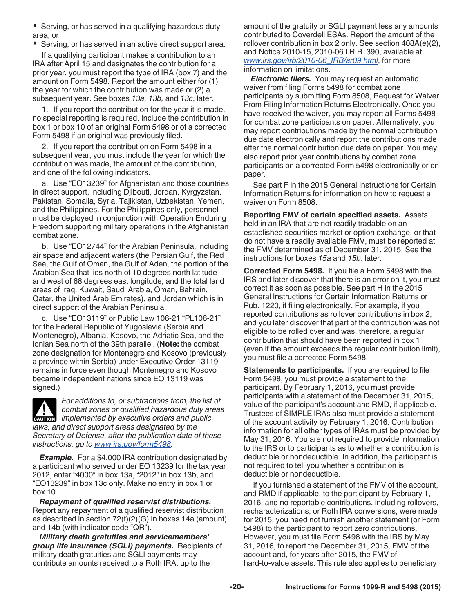<span id="page-19-0"></span>• Serving, or has served in a qualifying hazardous duty area, or

• Serving, or has served in an active direct support area.

If a qualifying participant makes a contribution to an IRA after April 15 and designates the contribution for a prior year, you must report the type of IRA (box 7) and the amount on Form 5498. Report the amount either for (1) the year for which the contribution was made or (2) a subsequent year. See boxes *13a, 13b,* and *13c*, later.

1. If you report the contribution for the year it is made, no special reporting is required. Include the contribution in box 1 or box 10 of an original Form 5498 or of a corrected Form 5498 if an original was previously filed.

2. If you report the contribution on Form 5498 in a subsequent year, you must include the year for which the contribution was made, the amount of the contribution, and one of the following indicators.

a. Use "EO13239" for Afghanistan and those countries in direct support, including Djibouti, Jordan, Kyrgyzstan, Pakistan, Somalia, Syria, Tajikistan, Uzbekistan, Yemen, and the Philippines. For the Philippines only, personnel must be deployed in conjunction with Operation Enduring Freedom supporting military operations in the Afghanistan combat zone.

b. Use "EO12744" for the Arabian Peninsula, including air space and adjacent waters (the Persian Gulf, the Red Sea, the Gulf of Oman, the Gulf of Aden, the portion of the Arabian Sea that lies north of 10 degrees north latitude and west of 68 degrees east longitude, and the total land areas of Iraq, Kuwait, Saudi Arabia, Oman, Bahrain, Qatar, the United Arab Emirates), and Jordan which is in direct support of the Arabian Peninsula.

c. Use "EO13119" or Public Law 106-21 "PL106-21" for the Federal Republic of Yugoslavia (Serbia and Montenegro), Albania, Kosovo, the Adriatic Sea, and the Ionian Sea north of the 39th parallel. (**Note:** the combat zone designation for Montenegro and Kosovo (previously a province within Serbia) under Executive Order 13119 remains in force even though Montenegro and Kosovo became independent nations since EO 13119 was signed.)

*For additions to, or subtractions from, the list of combat zones or qualified hazardous duty areas*  **i**mplemented by executive orders and public **counter** *laws, and direct support areas designated by the Secretary of Defense, after the publication date of these instructions, go to [www.irs.gov/form5498.](http://www.irs.gov/form5498)*

**Example.** For a \$4,000 IRA contribution designated by a participant who served under EO 13239 for the tax year 2012, enter "4000" in box 13a, "2012" in box 13b, and "EO13239" in box 13c only. Make no entry in box 1 or box 10.

*Repayment of qualified reservist distributions.*  Report any repayment of a qualified reservist distribution as described in section 72(t)(2)(G) in boxes 14a (amount) and 14b (with indicator code "QR").

*Military death gratuities and servicemembers' group life insurance (SGLI) payments.* Recipients of military death gratuities and SGLI payments may contribute amounts received to a Roth IRA, up to the

amount of the gratuity or SGLI payment less any amounts contributed to Coverdell ESAs. Report the amount of the rollover contribution in box 2 only. See section 408A(e)(2), and Notice 2010-15, 2010-06 I.R.B. 390, available at *[www.irs.gov/irb/2010-06\\_IRB/ar09.html](http://www.irs.gov/irb/2010-06_IRB/ar09.html)*, for more information on limitations.

*Electronic filers.* You may request an automatic waiver from filing Forms 5498 for combat zone participants by submitting Form 8508, Request for Waiver From Filing Information Returns Electronically. Once you have received the waiver, you may report all Forms 5498 for combat zone participants on paper. Alternatively, you may report contributions made by the normal contribution due date electronically and report the contributions made after the normal contribution due date on paper. You may also report prior year contributions by combat zone participants on a corrected Form 5498 electronically or on paper.

See part F in the 2015 General Instructions for Certain Information Returns for information on how to request a waiver on Form 8508.

**Reporting FMV of certain specified assets.** Assets held in an IRA that are not readily tradable on an established securities market or option exchange, or that do not have a readily available FMV, must be reported at the FMV determined as of December 31, 2015. See the instructions for boxes *15a* and *15b*, later.

**Corrected Form 5498.** If you file a Form 5498 with the IRS and later discover that there is an error on it, you must correct it as soon as possible. See part H in the 2015 General Instructions for Certain Information Returns or Pub. 1220, if filing electronically. For example, if you reported contributions as rollover contributions in box 2, and you later discover that part of the contribution was not eligible to be rolled over and was, therefore, a regular contribution that should have been reported in box 1 (even if the amount exceeds the regular contribution limit), you must file a corrected Form 5498.

**Statements to participants.** If you are required to file Form 5498, you must provide a statement to the participant. By February 1, 2016, you must provide participants with a statement of the December 31, 2015, value of the participant's account and RMD, if applicable. Trustees of SIMPLE IRAs also must provide a statement of the account activity by February 1, 2016. Contribution information for all other types of IRAs must be provided by May 31, 2016. You are not required to provide information to the IRS or to participants as to whether a contribution is deductible or nondeductible. In addition, the participant is not required to tell you whether a contribution is deductible or nondeductible.

If you furnished a statement of the FMV of the account, and RMD if applicable, to the participant by February 1, 2016, and no reportable contributions, including rollovers, recharacterizations, or Roth IRA conversions, were made for 2015, you need not furnish another statement (or Form 5498) to the participant to report zero contributions. However, you must file Form 5498 with the IRS by May 31, 2016, to report the December 31, 2015, FMV of the account and, for years after 2015, the FMV of hard-to-value assets. This rule also applies to beneficiary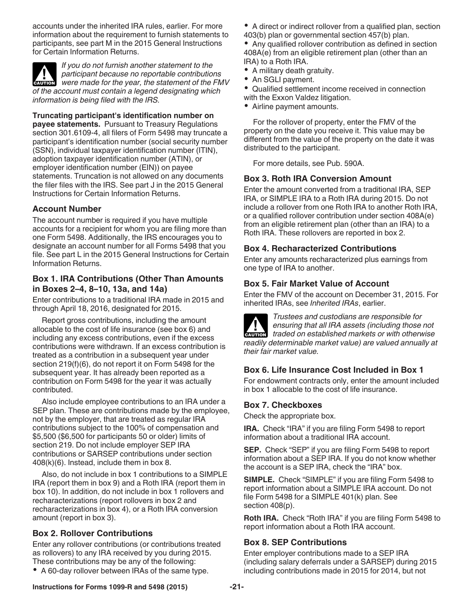<span id="page-20-0"></span>accounts under the inherited IRA rules, earlier. For more information about the requirement to furnish statements to participants, see part M in the 2015 General Instructions for Certain Information Returns.

*If you do not furnish another statement to the participant because no reportable contributions*  **Participant because no reportable contributions**<br>were made for the year, the statement of the FMV *of the account must contain a legend designating which information is being filed with the IRS.*

**Truncating participant's identification number on payee statements.** Pursuant to Treasury Regulations section 301.6109-4, all filers of Form 5498 may truncate a participant's identification number (social security number (SSN), individual taxpayer identification number (ITIN), adoption taxpayer identification number (ATIN), or employer identification number (EIN)) on payee statements. Truncation is not allowed on any documents the filer files with the IRS. See part J in the 2015 General Instructions for Certain Information Returns.

# **Account Number**

The account number is required if you have multiple accounts for a recipient for whom you are filing more than one Form 5498. Additionally, the IRS encourages you to designate an account number for all Forms 5498 that you file. See part L in the 2015 General Instructions for Certain Information Returns.

# **Box 1. IRA Contributions (Other Than Amounts in Boxes 2–4, 8–10, 13a, and 14a)**

Enter contributions to a traditional IRA made in 2015 and through April 18, 2016, designated for 2015.

Report gross contributions, including the amount allocable to the cost of life insurance (see box 6) and including any excess contributions, even if the excess contributions were withdrawn. If an excess contribution is treated as a contribution in a subsequent year under section 219(f)(6), do not report it on Form 5498 for the subsequent year. It has already been reported as a contribution on Form 5498 for the year it was actually contributed.

Also include employee contributions to an IRA under a SEP plan. These are contributions made by the employee, not by the employer, that are treated as regular IRA contributions subject to the 100% of compensation and \$5,500 (\$6,500 for participants 50 or older) limits of section 219. Do not include employer SEP IRA contributions or SARSEP contributions under section 408(k)(6). Instead, include them in box 8.

Also, do not include in box 1 contributions to a SIMPLE IRA (report them in box 9) and a Roth IRA (report them in box 10). In addition, do not include in box 1 rollovers and recharacterizations (report rollovers in box 2 and recharacterizations in box 4), or a Roth IRA conversion amount (report in box 3).

# **Box 2. Rollover Contributions**

Enter any rollover contributions (or contributions treated as rollovers) to any IRA received by you during 2015. These contributions may be any of the following:

A 60-day rollover between IRAs of the same type.

A direct or indirect rollover from a qualified plan, section 403(b) plan or governmental section 457(b) plan.

Any qualified rollover contribution as defined in section 408A(e) from an eligible retirement plan (other than an IRA) to a Roth IRA.

- A military death gratuity.
- An SGLI payment.

Qualified settlement income received in connection with the Exxon Valdez litigation.

Airline payment amounts.

For the rollover of property, enter the FMV of the property on the date you receive it. This value may be different from the value of the property on the date it was distributed to the participant.

For more details, see Pub. 590A.

# **Box 3. Roth IRA Conversion Amount**

Enter the amount converted from a traditional IRA, SEP IRA, or SIMPLE IRA to a Roth IRA during 2015. Do not include a rollover from one Roth IRA to another Roth IRA, or a qualified rollover contribution under section 408A(e) from an eligible retirement plan (other than an IRA) to a Roth IRA. These rollovers are reported in box 2.

# **Box 4. Recharacterized Contributions**

Enter any amounts recharacterized plus earnings from one type of IRA to another.

# **Box 5. Fair Market Value of Account**

Enter the FMV of the account on December 31, 2015. For inherited IRAs, see *Inherited IRAs*, earlier.



*Trustees and custodians are responsible for ensuring that all IRA assets (including those not*  **z** ensuring that all IRA assets (including those not traded on established markets or with otherwise *readily determinable market value) are valued annually at their fair market value.*

# **Box 6. Life Insurance Cost Included in Box 1**

For endowment contracts only, enter the amount included in box 1 allocable to the cost of life insurance.

# **Box 7. Checkboxes**

Check the appropriate box.

**IRA.** Check "IRA" if you are filing Form 5498 to report information about a traditional IRA account.

**SEP.** Check "SEP" if you are filing Form 5498 to report information about a SEP IRA. If you do not know whether the account is a SEP IRA, check the "IRA" box.

**SIMPLE.** Check "SIMPLE" if you are filing Form 5498 to report information about a SIMPLE IRA account. Do not file Form 5498 for a SIMPLE 401(k) plan. See section 408(p).

**Roth IRA.** Check "Roth IRA" if you are filing Form 5498 to report information about a Roth IRA account.

# **Box 8. SEP Contributions**

Enter employer contributions made to a SEP IRA (including salary deferrals under a SARSEP) during 2015 including contributions made in 2015 for 2014, but not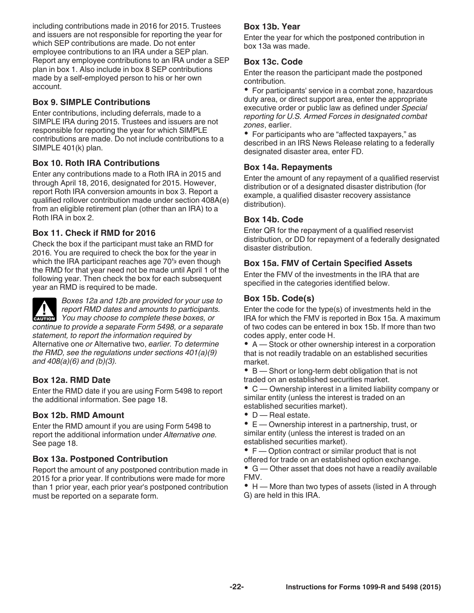<span id="page-21-0"></span>including contributions made in 2016 for 2015. Trustees and issuers are not responsible for reporting the year for which SEP contributions are made. Do not enter employee contributions to an IRA under a SEP plan. Report any employee contributions to an IRA under a SEP plan in box 1. Also include in box 8 SEP contributions made by a self-employed person to his or her own account.

# **Box 9. SIMPLE Contributions**

Enter contributions, including deferrals, made to a SIMPLE IRA during 2015. Trustees and issuers are not responsible for reporting the year for which SIMPLE contributions are made. Do not include contributions to a SIMPLE 401(k) plan.

# **Box 10. Roth IRA Contributions**

Enter any contributions made to a Roth IRA in 2015 and through April 18, 2016, designated for 2015. However, report Roth IRA conversion amounts in box 3. Report a qualified rollover contribution made under section 408A(e) from an eligible retirement plan (other than an IRA) to a Roth IRA in box 2.

# **Box 11. Check if RMD for 2016**

Check the box if the participant must take an RMD for 2016. You are required to check the box for the year in which the IRA participant reaches age 70**<sup>1</sup> <sup>2</sup>** even though the RMD for that year need not be made until April 1 of the following year. Then check the box for each subsequent year an RMD is required to be made.



*Boxes 12a and 12b are provided for your use to report RMD dates and amounts to participants. You may choose to complete these boxes, or*  $\overline{Y}$ 

*continue to provide a separate Form 5498, or a separate statement, to report the information required by*  Alternative one *or* Alternative two, *earlier. To determine the RMD, see the regulations under sections 401(a)(9) and 408(a)(6) and (b)(3).*

# **Box 12a. RMD Date**

Enter the RMD date if you are using Form 5498 to report the additional information. See page 18.

# **Box 12b. RMD Amount**

Enter the RMD amount if you are using Form 5498 to report the additional information under *Alternative one.*  See page 18.

# **Box 13a. Postponed Contribution**

Report the amount of any postponed contribution made in 2015 for a prior year. If contributions were made for more than 1 prior year, each prior year's postponed contribution must be reported on a separate form.

# **Box 13b. Year**

Enter the year for which the postponed contribution in box 13a was made.

# **Box 13c. Code**

Enter the reason the participant made the postponed contribution.

• For participants' service in a combat zone, hazardous duty area, or direct support area, enter the appropriate executive order or public law as defined under *Special reporting for U.S. Armed Forces in designated combat zones*, earlier.

• For participants who are "affected taxpayers," as described in an IRS News Release relating to a federally designated disaster area, enter FD.

# **Box 14a. Repayments**

Enter the amount of any repayment of a qualified reservist distribution or of a designated disaster distribution (for example, a qualified disaster recovery assistance distribution).

# **Box 14b. Code**

Enter QR for the repayment of a qualified reservist distribution, or DD for repayment of a federally designated disaster distribution.

# **Box 15a. FMV of Certain Specified Assets**

Enter the FMV of the investments in the IRA that are specified in the categories identified below.

# **Box 15b. Code(s)**

Enter the code for the type(s) of investments held in the IRA for which the FMV is reported in Box 15a. A maximum of two codes can be entered in box 15b. If more than two codes apply, enter code H.

A — Stock or other ownership interest in a corporation that is not readily tradable on an established securities market.

B — Short or long-term debt obligation that is not traded on an established securities market.

C — Ownership interest in a limited liability company or similar entity (unless the interest is traded on an established securities market).

- **D** Real estate.
- E Ownership interest in a partnership, trust, or similar entity (unless the interest is traded on an established securities market).

• F — Option contract or similar product that is not offered for trade on an established option exchange.

G — Other asset that does not have a readily available FMV.

• H — More than two types of assets (listed in A through G) are held in this IRA.